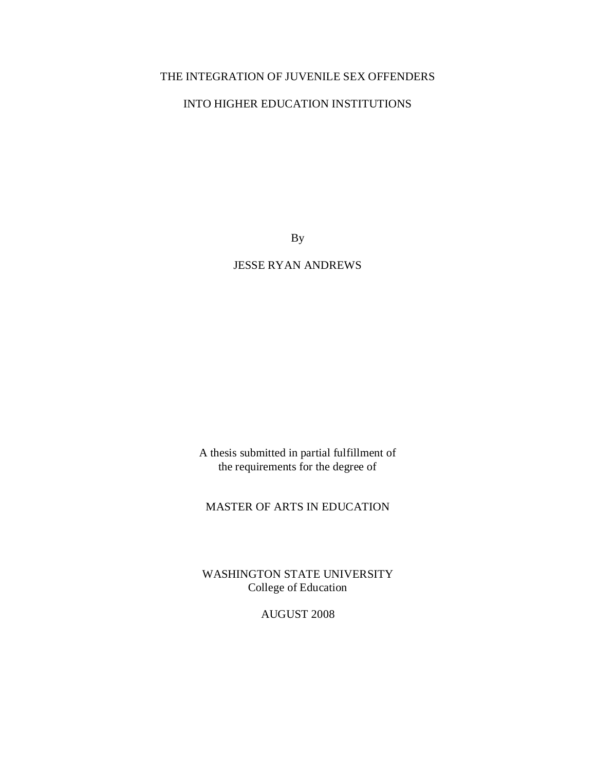## THE INTEGRATION OF JUVENILE SEX OFFENDERS

## INTO HIGHER EDUCATION INSTITUTIONS

By

JESSE RYAN ANDREWS

A thesis submitted in partial fulfillment of the requirements for the degree of

## MASTER OF ARTS IN EDUCATION

WASHINGTON STATE UNIVERSITY College of Education

AUGUST 2008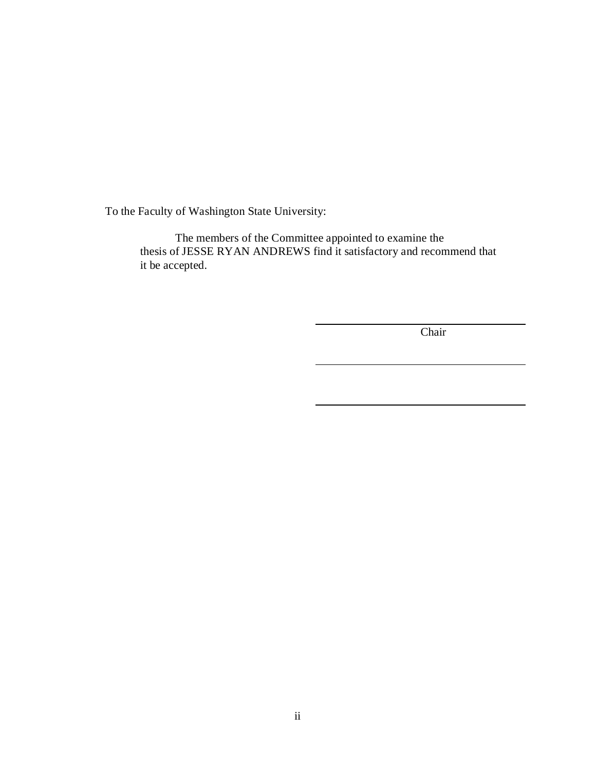To the Faculty of Washington State University:

The members of the Committee appointed to examine the thesis of JESSE RYAN ANDREWS find it satisfactory and recommend that it be accepted.

Chair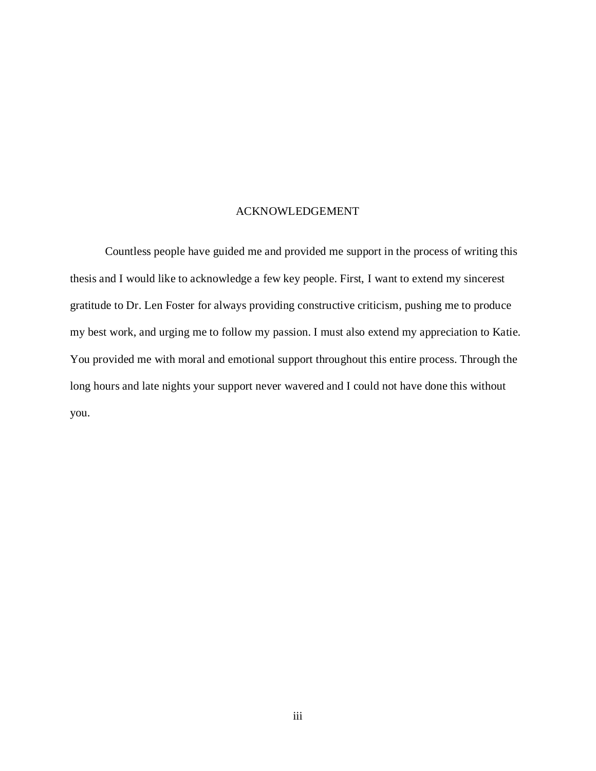### ACKNOWLEDGEMENT

Countless people have guided me and provided me support in the process of writing this thesis and I would like to acknowledge a few key people. First, I want to extend my sincerest gratitude to Dr. Len Foster for always providing constructive criticism, pushing me to produce my best work, and urging me to follow my passion. I must also extend my appreciation to Katie. You provided me with moral and emotional support throughout this entire process. Through the long hours and late nights your support never wavered and I could not have done this without you.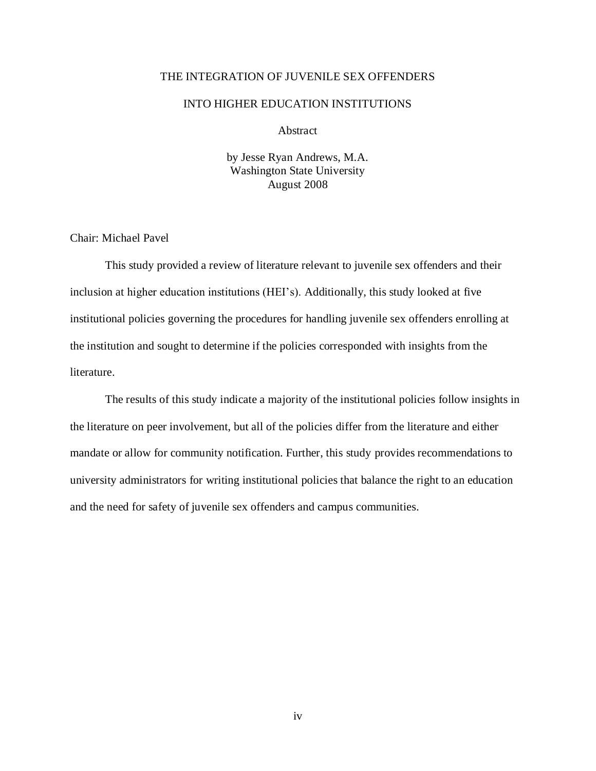### THE INTEGRATION OF JUVENILE SEX OFFENDERS

### INTO HIGHER EDUCATION INSTITUTIONS

Abstract

by Jesse Ryan Andrews, M.A. Washington State University August 2008

Chair: Michael Pavel

This study provided a review of literature relevant to juvenile sex offenders and their inclusion at higher education institutions (HEI"s). Additionally, this study looked at five institutional policies governing the procedures for handling juvenile sex offenders enrolling at the institution and sought to determine if the policies corresponded with insights from the literature.

The results of this study indicate a majority of the institutional policies follow insights in the literature on peer involvement, but all of the policies differ from the literature and either mandate or allow for community notification. Further, this study provides recommendations to university administrators for writing institutional policies that balance the right to an education and the need for safety of juvenile sex offenders and campus communities.

iv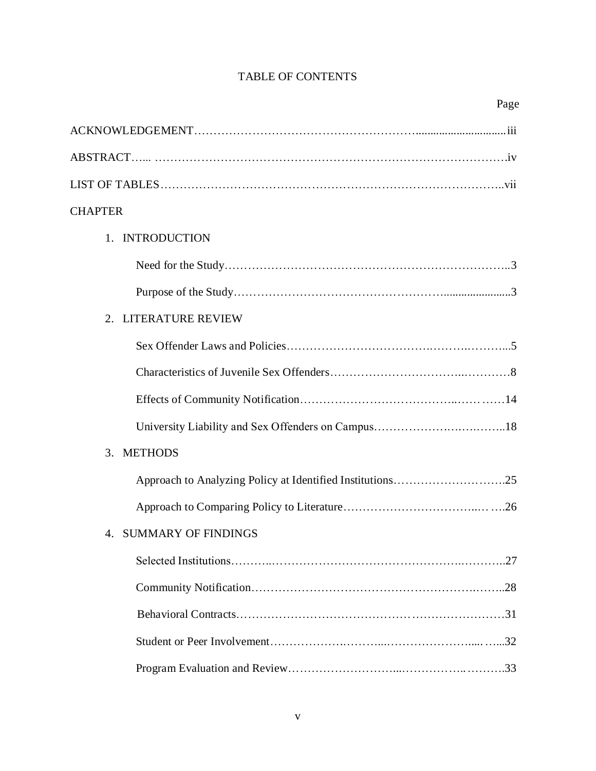## TABLE OF CONTENTS

| <b>CHAPTER</b>         |
|------------------------|
| 1. INTRODUCTION        |
|                        |
|                        |
| 2. LITERATURE REVIEW   |
|                        |
|                        |
|                        |
|                        |
| 3. METHODS             |
|                        |
|                        |
| 4. SUMMARY OF FINDINGS |
|                        |
|                        |
|                        |
|                        |
|                        |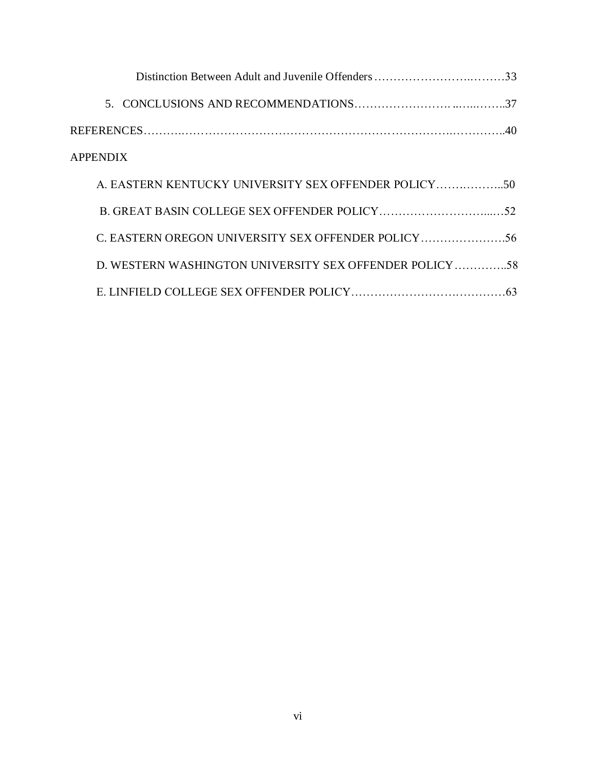| <b>APPENDIX</b>                                         |  |
|---------------------------------------------------------|--|
|                                                         |  |
|                                                         |  |
| C. EASTERN OREGON UNIVERSITY SEX OFFENDER POLICY        |  |
| D. WESTERN WASHINGTON UNIVERSITY SEX OFFENDER POLICY 58 |  |
|                                                         |  |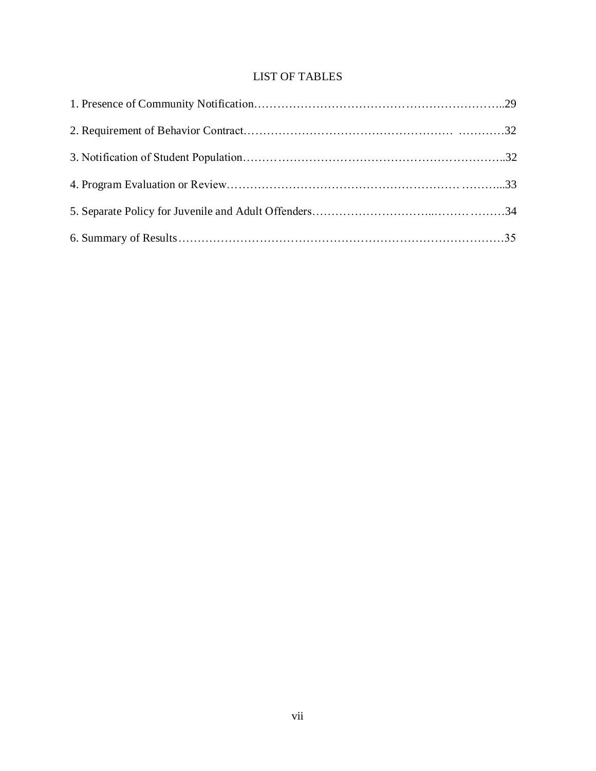## LIST OF TABLES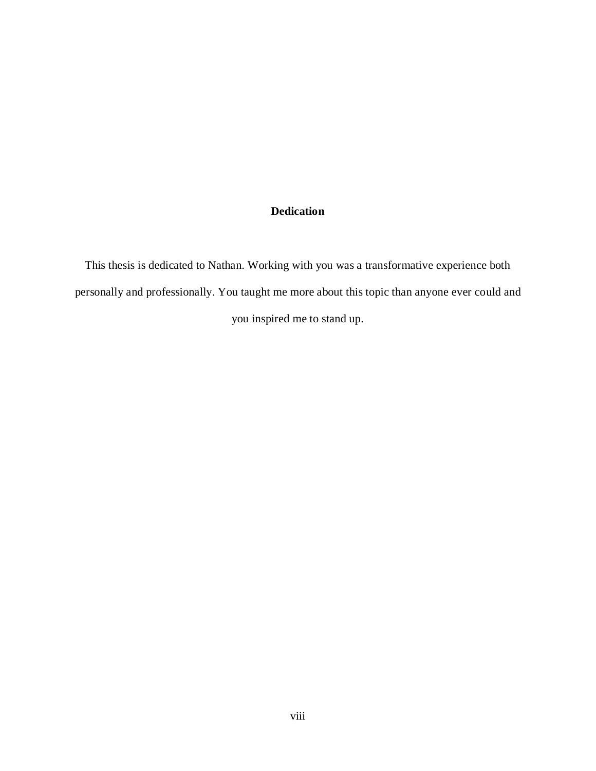# **Dedication**

This thesis is dedicated to Nathan. Working with you was a transformative experience both personally and professionally. You taught me more about this topic than anyone ever could and you inspired me to stand up.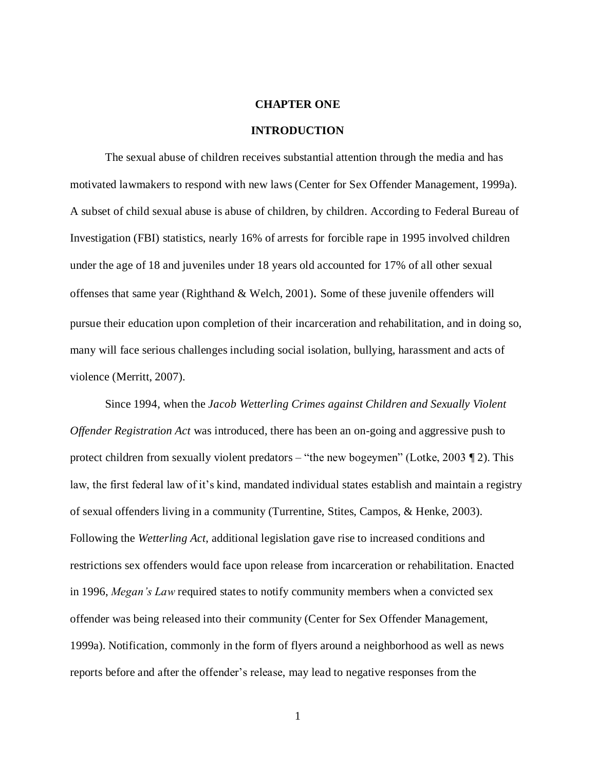### **CHAPTER ONE**

#### **INTRODUCTION**

The sexual abuse of children receives substantial attention through the media and has motivated lawmakers to respond with new laws (Center for Sex Offender Management, 1999a). A subset of child sexual abuse is abuse of children, by children. According to Federal Bureau of Investigation (FBI) statistics, nearly 16% of arrests for forcible rape in 1995 involved children under the age of 18 and juveniles under 18 years old accounted for 17% of all other sexual offenses that same year (Righthand & Welch, 2001). Some of these juvenile offenders will pursue their education upon completion of their incarceration and rehabilitation, and in doing so, many will face serious challenges including social isolation, bullying, harassment and acts of violence (Merritt, 2007).

Since 1994, when the *Jacob Wetterling Crimes against Children and Sexually Violent Offender Registration Act* was introduced, there has been an on-going and aggressive push to protect children from sexually violent predators – "the new bogeymen" (Lotke, 2003 ¶ 2). This law, the first federal law of it"s kind, mandated individual states establish and maintain a registry of sexual offenders living in a community (Turrentine, Stites, Campos, & Henke, 2003). Following the *Wetterling Act*, additional legislation gave rise to increased conditions and restrictions sex offenders would face upon release from incarceration or rehabilitation. Enacted in 1996, *Megan's Law* required states to notify community members when a convicted sex offender was being released into their community (Center for Sex Offender Management, 1999a). Notification, commonly in the form of flyers around a neighborhood as well as news reports before and after the offender"s release, may lead to negative responses from the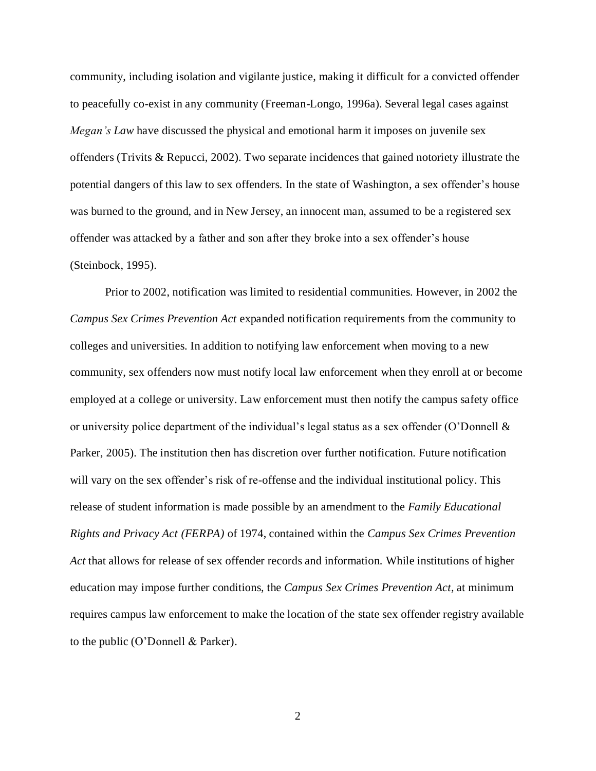community, including isolation and vigilante justice, making it difficult for a convicted offender to peacefully co-exist in any community (Freeman-Longo, 1996a). Several legal cases against *Megan's Law* have discussed the physical and emotional harm it imposes on juvenile sex offenders (Trivits & Repucci, 2002). Two separate incidences that gained notoriety illustrate the potential dangers of this law to sex offenders. In the state of Washington, a sex offender"s house was burned to the ground, and in New Jersey, an innocent man, assumed to be a registered sex offender was attacked by a father and son after they broke into a sex offender"s house (Steinbock, 1995).

Prior to 2002, notification was limited to residential communities. However, in 2002 the *Campus Sex Crimes Prevention Act* expanded notification requirements from the community to colleges and universities. In addition to notifying law enforcement when moving to a new community, sex offenders now must notify local law enforcement when they enroll at or become employed at a college or university. Law enforcement must then notify the campus safety office or university police department of the individual's legal status as a sex offender (O'Donnell  $\&$ Parker, 2005). The institution then has discretion over further notification. Future notification will vary on the sex offender's risk of re-offense and the individual institutional policy. This release of student information is made possible by an amendment to the *Family Educational Rights and Privacy Act (FERPA)* of 1974, contained within the *Campus Sex Crimes Prevention Act* that allows for release of sex offender records and information. While institutions of higher education may impose further conditions, the *Campus Sex Crimes Prevention Act,* at minimum requires campus law enforcement to make the location of the state sex offender registry available to the public (O"Donnell & Parker).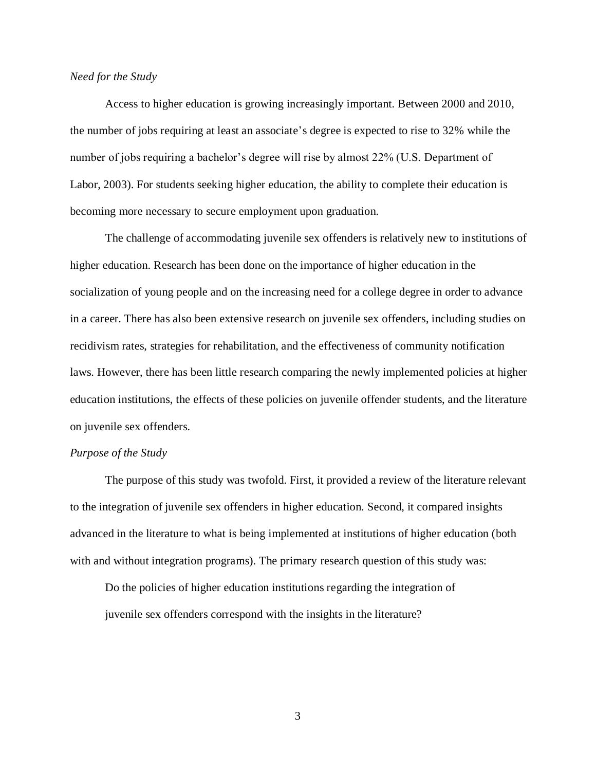#### *Need for the Study*

Access to higher education is growing increasingly important. Between 2000 and 2010, the number of jobs requiring at least an associate"s degree is expected to rise to 32% while the number of jobs requiring a bachelor's degree will rise by almost 22% (U.S. Department of Labor, 2003). For students seeking higher education, the ability to complete their education is becoming more necessary to secure employment upon graduation.

The challenge of accommodating juvenile sex offenders is relatively new to institutions of higher education. Research has been done on the importance of higher education in the socialization of young people and on the increasing need for a college degree in order to advance in a career. There has also been extensive research on juvenile sex offenders, including studies on recidivism rates, strategies for rehabilitation, and the effectiveness of community notification laws. However, there has been little research comparing the newly implemented policies at higher education institutions, the effects of these policies on juvenile offender students, and the literature on juvenile sex offenders.

### *Purpose of the Study*

The purpose of this study was twofold. First, it provided a review of the literature relevant to the integration of juvenile sex offenders in higher education. Second, it compared insights advanced in the literature to what is being implemented at institutions of higher education (both with and without integration programs). The primary research question of this study was:

Do the policies of higher education institutions regarding the integration of juvenile sex offenders correspond with the insights in the literature?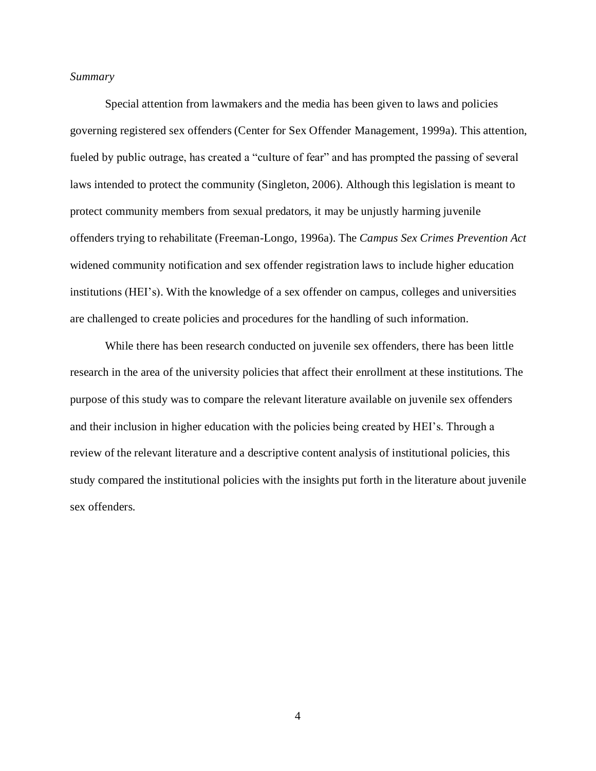### *Summary*

Special attention from lawmakers and the media has been given to laws and policies governing registered sex offenders (Center for Sex Offender Management, 1999a). This attention, fueled by public outrage, has created a "culture of fear" and has prompted the passing of several laws intended to protect the community (Singleton, 2006). Although this legislation is meant to protect community members from sexual predators, it may be unjustly harming juvenile offenders trying to rehabilitate (Freeman-Longo, 1996a). The *Campus Sex Crimes Prevention Act* widened community notification and sex offender registration laws to include higher education institutions (HEI"s). With the knowledge of a sex offender on campus, colleges and universities are challenged to create policies and procedures for the handling of such information.

While there has been research conducted on juvenile sex offenders, there has been little research in the area of the university policies that affect their enrollment at these institutions. The purpose of this study was to compare the relevant literature available on juvenile sex offenders and their inclusion in higher education with the policies being created by HEI"s. Through a review of the relevant literature and a descriptive content analysis of institutional policies, this study compared the institutional policies with the insights put forth in the literature about juvenile sex offenders.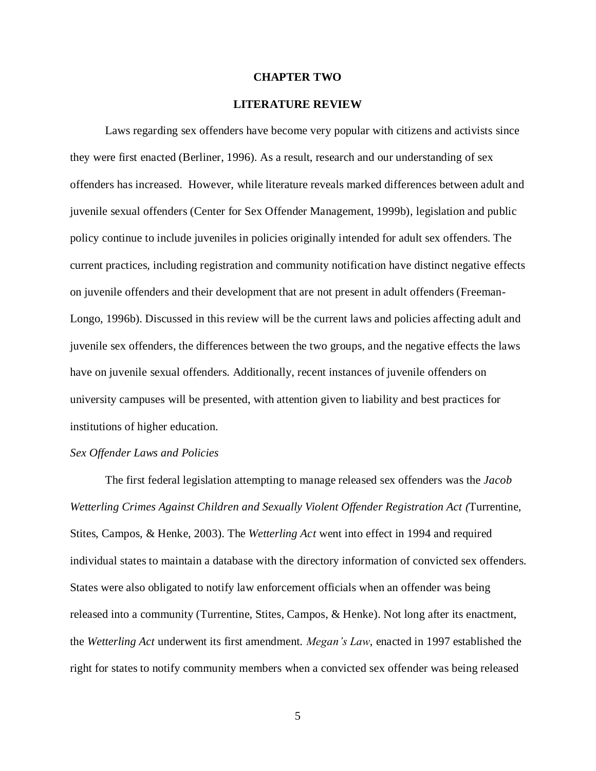### **CHAPTER TWO**

### **LITERATURE REVIEW**

Laws regarding sex offenders have become very popular with citizens and activists since they were first enacted (Berliner, 1996). As a result, research and our understanding of sex offenders has increased. However, while literature reveals marked differences between adult and juvenile sexual offenders (Center for Sex Offender Management, 1999b), legislation and public policy continue to include juveniles in policies originally intended for adult sex offenders. The current practices, including registration and community notification have distinct negative effects on juvenile offenders and their development that are not present in adult offenders (Freeman-Longo, 1996b). Discussed in this review will be the current laws and policies affecting adult and juvenile sex offenders, the differences between the two groups, and the negative effects the laws have on juvenile sexual offenders. Additionally, recent instances of juvenile offenders on university campuses will be presented, with attention given to liability and best practices for institutions of higher education.

### *Sex Offender Laws and Policies*

The first federal legislation attempting to manage released sex offenders was the *Jacob Wetterling Crimes Against Children and Sexually Violent Offender Registration Act (*Turrentine, Stites, Campos, & Henke, 2003). The *Wetterling Act* went into effect in 1994 and required individual states to maintain a database with the directory information of convicted sex offenders. States were also obligated to notify law enforcement officials when an offender was being released into a community (Turrentine, Stites, Campos, & Henke). Not long after its enactment, the *Wetterling Act* underwent its first amendment. *Megan's Law*, enacted in 1997 established the right for states to notify community members when a convicted sex offender was being released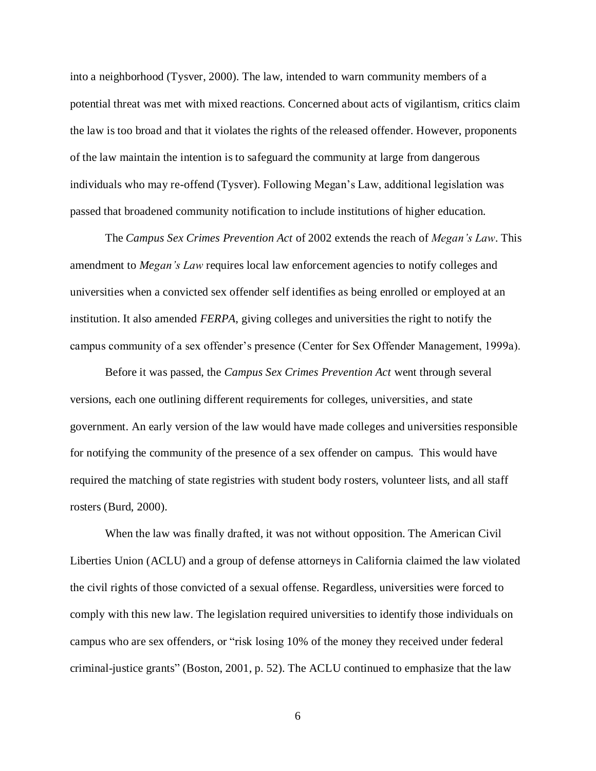into a neighborhood (Tysver, 2000). The law, intended to warn community members of a potential threat was met with mixed reactions. Concerned about acts of vigilantism, critics claim the law is too broad and that it violates the rights of the released offender. However, proponents of the law maintain the intention is to safeguard the community at large from dangerous individuals who may re-offend (Tysver). Following Megan"s Law, additional legislation was passed that broadened community notification to include institutions of higher education.

The *Campus Sex Crimes Prevention Act* of 2002 extends the reach of *Megan's Law*. This amendment to *Megan's Law* requires local law enforcement agencies to notify colleges and universities when a convicted sex offender self identifies as being enrolled or employed at an institution. It also amended *FERPA*, giving colleges and universities the right to notify the campus community of a sex offender"s presence (Center for Sex Offender Management, 1999a).

Before it was passed, the *Campus Sex Crimes Prevention Act* went through several versions, each one outlining different requirements for colleges, universities, and state government. An early version of the law would have made colleges and universities responsible for notifying the community of the presence of a sex offender on campus. This would have required the matching of state registries with student body rosters, volunteer lists, and all staff rosters (Burd, 2000).

When the law was finally drafted, it was not without opposition. The American Civil Liberties Union (ACLU) and a group of defense attorneys in California claimed the law violated the civil rights of those convicted of a sexual offense. Regardless, universities were forced to comply with this new law. The legislation required universities to identify those individuals on campus who are sex offenders, or "risk losing 10% of the money they received under federal criminal-justice grants" (Boston, 2001, p. 52). The ACLU continued to emphasize that the law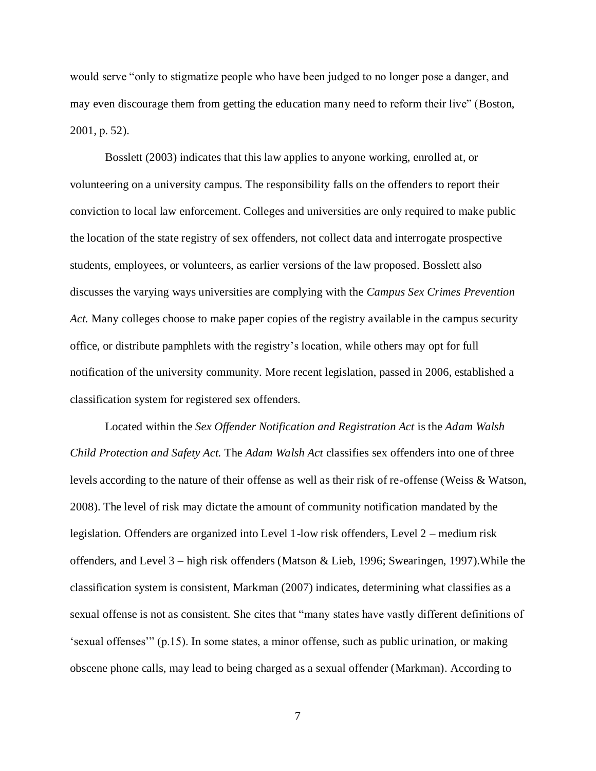would serve "only to stigmatize people who have been judged to no longer pose a danger, and may even discourage them from getting the education many need to reform their live" (Boston, 2001, p. 52).

Bosslett (2003) indicates that this law applies to anyone working, enrolled at, or volunteering on a university campus. The responsibility falls on the offenders to report their conviction to local law enforcement. Colleges and universities are only required to make public the location of the state registry of sex offenders, not collect data and interrogate prospective students, employees, or volunteers, as earlier versions of the law proposed. Bosslett also discusses the varying ways universities are complying with the *Campus Sex Crimes Prevention Act.* Many colleges choose to make paper copies of the registry available in the campus security office, or distribute pamphlets with the registry"s location, while others may opt for full notification of the university community. More recent legislation, passed in 2006, established a classification system for registered sex offenders.

Located within the *Sex Offender Notification and Registration Act* is the *Adam Walsh Child Protection and Safety Act.* The *Adam Walsh Act* classifies sex offenders into one of three levels according to the nature of their offense as well as their risk of re-offense (Weiss & Watson, 2008). The level of risk may dictate the amount of community notification mandated by the legislation. Offenders are organized into Level 1-low risk offenders, Level 2 – medium risk offenders, and Level 3 – high risk offenders (Matson & Lieb, 1996; Swearingen, 1997).While the classification system is consistent, Markman (2007) indicates, determining what classifies as a sexual offense is not as consistent. She cites that "many states have vastly different definitions of 'sexual offenses'" (p.15). In some states, a minor offense, such as public urination, or making obscene phone calls, may lead to being charged as a sexual offender (Markman). According to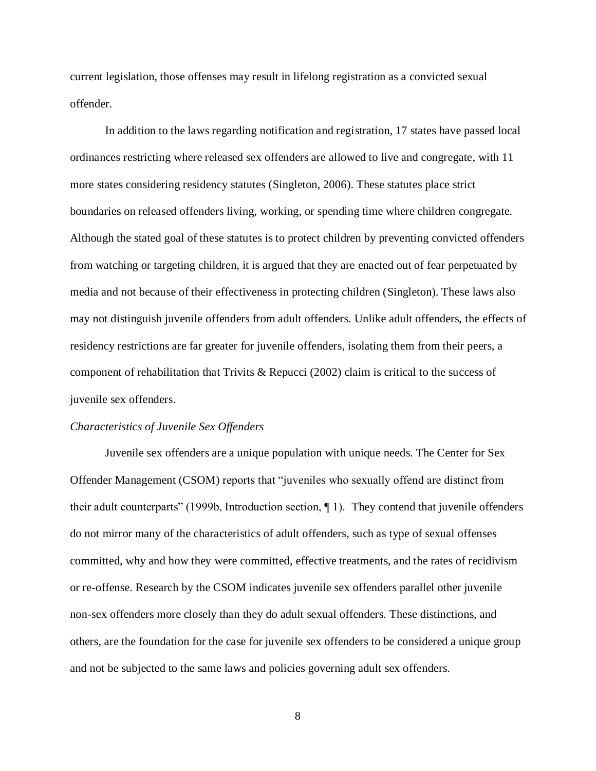current legislation, those offenses may result in lifelong registration as a convicted sexual offender.

In addition to the laws regarding notification and registration, 17 states have passed local ordinances restricting where released sex offenders are allowed to live and congregate, with 11 more states considering residency statutes (Singleton, 2006). These statutes place strict boundaries on released offenders living, working, or spending time where children congregate. Although the stated goal of these statutes is to protect children by preventing convicted offenders from watching or targeting children, it is argued that they are enacted out of fear perpetuated by media and not because of their effectiveness in protecting children (Singleton). These laws also may not distinguish juvenile offenders from adult offenders. Unlike adult offenders, the effects of residency restrictions are far greater for juvenile offenders, isolating them from their peers, a component of rehabilitation that Trivits & Repucci (2002) claim is critical to the success of juvenile sex offenders.

#### *Characteristics of Juvenile Sex Offenders*

Juvenile sex offenders are a unique population with unique needs. The Center for Sex Offender Management (CSOM) reports that "juveniles who sexually offend are distinct from their adult counterparts" (1999b, Introduction section, ¶ 1). They contend that juvenile offenders do not mirror many of the characteristics of adult offenders, such as type of sexual offenses committed, why and how they were committed, effective treatments, and the rates of recidivism or re-offense. Research by the CSOM indicates juvenile sex offenders parallel other juvenile non-sex offenders more closely than they do adult sexual offenders. These distinctions, and others, are the foundation for the case for juvenile sex offenders to be considered a unique group and not be subjected to the same laws and policies governing adult sex offenders.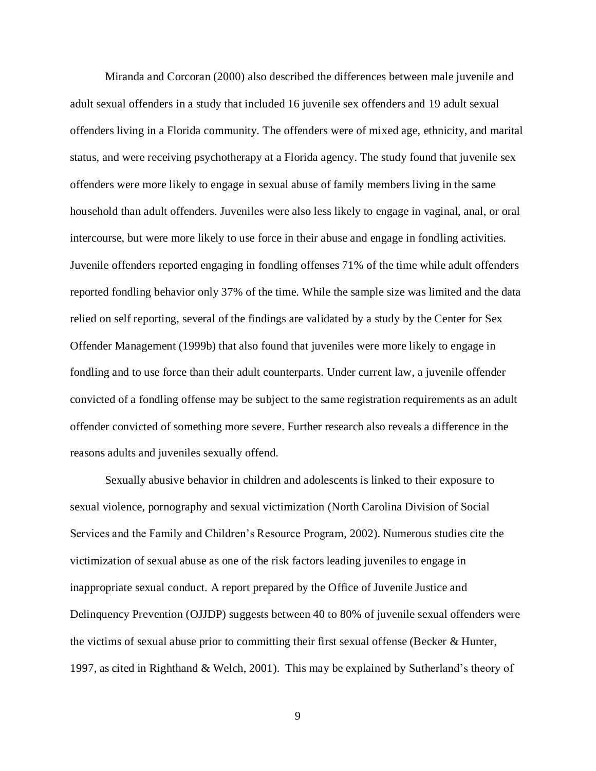Miranda and Corcoran (2000) also described the differences between male juvenile and adult sexual offenders in a study that included 16 juvenile sex offenders and 19 adult sexual offenders living in a Florida community. The offenders were of mixed age, ethnicity, and marital status, and were receiving psychotherapy at a Florida agency. The study found that juvenile sex offenders were more likely to engage in sexual abuse of family members living in the same household than adult offenders. Juveniles were also less likely to engage in vaginal, anal, or oral intercourse, but were more likely to use force in their abuse and engage in fondling activities. Juvenile offenders reported engaging in fondling offenses 71% of the time while adult offenders reported fondling behavior only 37% of the time. While the sample size was limited and the data relied on self reporting, several of the findings are validated by a study by the Center for Sex Offender Management (1999b) that also found that juveniles were more likely to engage in fondling and to use force than their adult counterparts. Under current law, a juvenile offender convicted of a fondling offense may be subject to the same registration requirements as an adult offender convicted of something more severe. Further research also reveals a difference in the reasons adults and juveniles sexually offend.

Sexually abusive behavior in children and adolescents is linked to their exposure to sexual violence, pornography and sexual victimization (North Carolina Division of Social Services and the Family and Children"s Resource Program, 2002). Numerous studies cite the victimization of sexual abuse as one of the risk factors leading juveniles to engage in inappropriate sexual conduct. A report prepared by the Office of Juvenile Justice and Delinquency Prevention (OJJDP) suggests between 40 to 80% of juvenile sexual offenders were the victims of sexual abuse prior to committing their first sexual offense (Becker & Hunter, 1997, as cited in Righthand & Welch, 2001). This may be explained by Sutherland"s theory of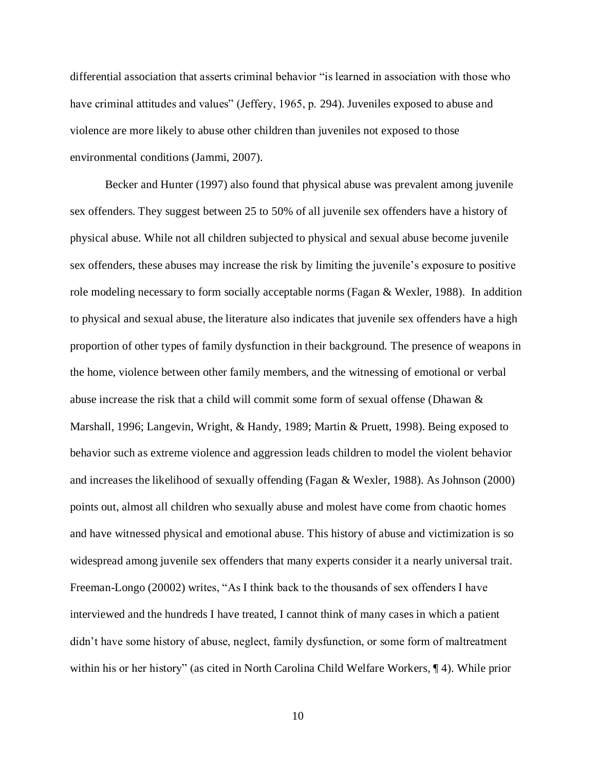differential association that asserts criminal behavior "is learned in association with those who have criminal attitudes and values" (Jeffery, 1965, p. 294). Juveniles exposed to abuse and violence are more likely to abuse other children than juveniles not exposed to those environmental conditions (Jammi, 2007).

Becker and Hunter (1997) also found that physical abuse was prevalent among juvenile sex offenders. They suggest between 25 to 50% of all juvenile sex offenders have a history of physical abuse. While not all children subjected to physical and sexual abuse become juvenile sex offenders, these abuses may increase the risk by limiting the juvenile"s exposure to positive role modeling necessary to form socially acceptable norms (Fagan & Wexler, 1988). In addition to physical and sexual abuse, the literature also indicates that juvenile sex offenders have a high proportion of other types of family dysfunction in their background. The presence of weapons in the home, violence between other family members, and the witnessing of emotional or verbal abuse increase the risk that a child will commit some form of sexual offense (Dhawan & Marshall, 1996; Langevin, Wright, & Handy, 1989; Martin & Pruett, 1998). Being exposed to behavior such as extreme violence and aggression leads children to model the violent behavior and increases the likelihood of sexually offending (Fagan & Wexler, 1988). As Johnson (2000) points out, almost all children who sexually abuse and molest have come from chaotic homes and have witnessed physical and emotional abuse. This history of abuse and victimization is so widespread among juvenile sex offenders that many experts consider it a nearly universal trait. Freeman-Longo (20002) writes, "As I think back to the thousands of sex offenders I have interviewed and the hundreds I have treated, I cannot think of many cases in which a patient didn"t have some history of abuse, neglect, family dysfunction, or some form of maltreatment within his or her history" (as cited in North Carolina Child Welfare Workers, ¶ 4). While prior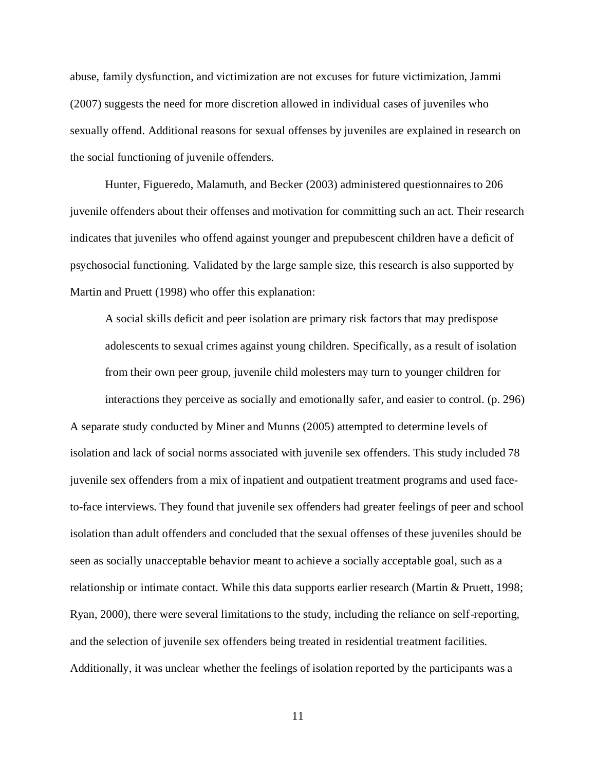abuse, family dysfunction, and victimization are not excuses for future victimization, Jammi (2007) suggests the need for more discretion allowed in individual cases of juveniles who sexually offend. Additional reasons for sexual offenses by juveniles are explained in research on the social functioning of juvenile offenders.

Hunter, Figueredo, Malamuth, and Becker (2003) administered questionnaires to 206 juvenile offenders about their offenses and motivation for committing such an act. Their research indicates that juveniles who offend against younger and prepubescent children have a deficit of psychosocial functioning. Validated by the large sample size, this research is also supported by Martin and Pruett (1998) who offer this explanation:

A social skills deficit and peer isolation are primary risk factors that may predispose adolescents to sexual crimes against young children. Specifically, as a result of isolation from their own peer group, juvenile child molesters may turn to younger children for interactions they perceive as socially and emotionally safer, and easier to control. (p. 296)

A separate study conducted by Miner and Munns (2005) attempted to determine levels of isolation and lack of social norms associated with juvenile sex offenders. This study included 78 juvenile sex offenders from a mix of inpatient and outpatient treatment programs and used faceto-face interviews. They found that juvenile sex offenders had greater feelings of peer and school isolation than adult offenders and concluded that the sexual offenses of these juveniles should be seen as socially unacceptable behavior meant to achieve a socially acceptable goal, such as a relationship or intimate contact. While this data supports earlier research (Martin & Pruett, 1998; Ryan, 2000), there were several limitations to the study, including the reliance on self-reporting, and the selection of juvenile sex offenders being treated in residential treatment facilities. Additionally, it was unclear whether the feelings of isolation reported by the participants was a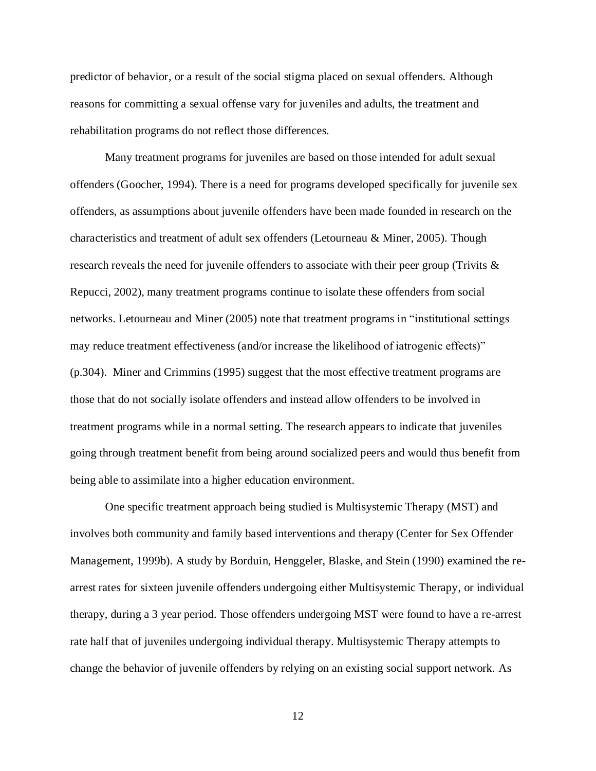predictor of behavior, or a result of the social stigma placed on sexual offenders. Although reasons for committing a sexual offense vary for juveniles and adults, the treatment and rehabilitation programs do not reflect those differences.

Many treatment programs for juveniles are based on those intended for adult sexual offenders (Goocher, 1994). There is a need for programs developed specifically for juvenile sex offenders, as assumptions about juvenile offenders have been made founded in research on the characteristics and treatment of adult sex offenders (Letourneau & Miner, 2005). Though research reveals the need for juvenile offenders to associate with their peer group (Trivits & Repucci, 2002), many treatment programs continue to isolate these offenders from social networks. Letourneau and Miner (2005) note that treatment programs in "institutional settings may reduce treatment effectiveness (and/or increase the likelihood of iatrogenic effects)" (p.304). Miner and Crimmins (1995) suggest that the most effective treatment programs are those that do not socially isolate offenders and instead allow offenders to be involved in treatment programs while in a normal setting. The research appears to indicate that juveniles going through treatment benefit from being around socialized peers and would thus benefit from being able to assimilate into a higher education environment.

One specific treatment approach being studied is Multisystemic Therapy (MST) and involves both community and family based interventions and therapy (Center for Sex Offender Management, 1999b). A study by Borduin, Henggeler, Blaske, and Stein (1990) examined the rearrest rates for sixteen juvenile offenders undergoing either Multisystemic Therapy, or individual therapy, during a 3 year period. Those offenders undergoing MST were found to have a re-arrest rate half that of juveniles undergoing individual therapy. Multisystemic Therapy attempts to change the behavior of juvenile offenders by relying on an existing social support network. As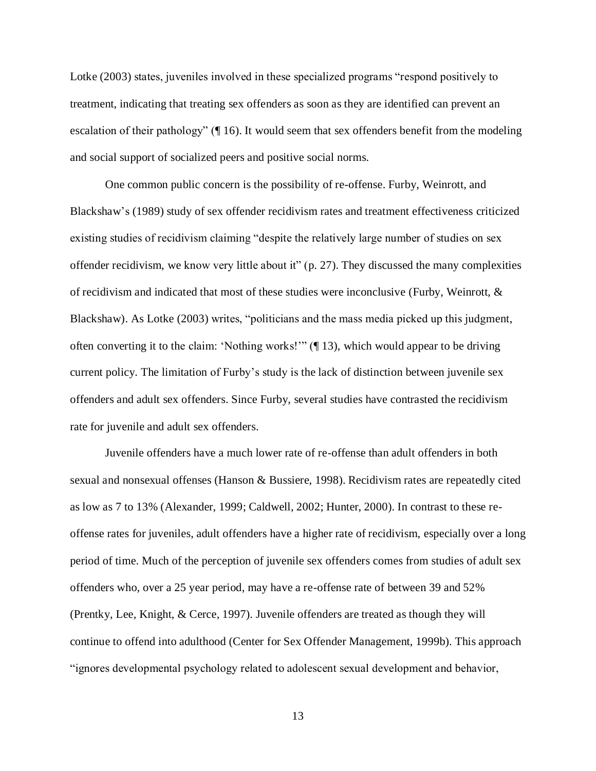Lotke (2003) states, juveniles involved in these specialized programs "respond positively to treatment, indicating that treating sex offenders as soon as they are identified can prevent an escalation of their pathology" (¶ 16). It would seem that sex offenders benefit from the modeling and social support of socialized peers and positive social norms.

One common public concern is the possibility of re-offense. Furby, Weinrott, and Blackshaw"s (1989) study of sex offender recidivism rates and treatment effectiveness criticized existing studies of recidivism claiming "despite the relatively large number of studies on sex offender recidivism, we know very little about it" (p. 27). They discussed the many complexities of recidivism and indicated that most of these studies were inconclusive (Furby, Weinrott, & Blackshaw). As Lotke (2003) writes, "politicians and the mass media picked up this judgment, often converting it to the claim: "Nothing works!"" (¶ 13), which would appear to be driving current policy. The limitation of Furby"s study is the lack of distinction between juvenile sex offenders and adult sex offenders. Since Furby, several studies have contrasted the recidivism rate for juvenile and adult sex offenders.

Juvenile offenders have a much lower rate of re-offense than adult offenders in both sexual and nonsexual offenses (Hanson & Bussiere, 1998). Recidivism rates are repeatedly cited as low as 7 to 13% (Alexander, 1999; Caldwell, 2002; Hunter, 2000). In contrast to these reoffense rates for juveniles, adult offenders have a higher rate of recidivism, especially over a long period of time. Much of the perception of juvenile sex offenders comes from studies of adult sex offenders who, over a 25 year period, may have a re-offense rate of between 39 and 52% (Prentky, Lee, Knight, & Cerce, 1997). Juvenile offenders are treated as though they will continue to offend into adulthood (Center for Sex Offender Management, 1999b). This approach "ignores developmental psychology related to adolescent sexual development and behavior,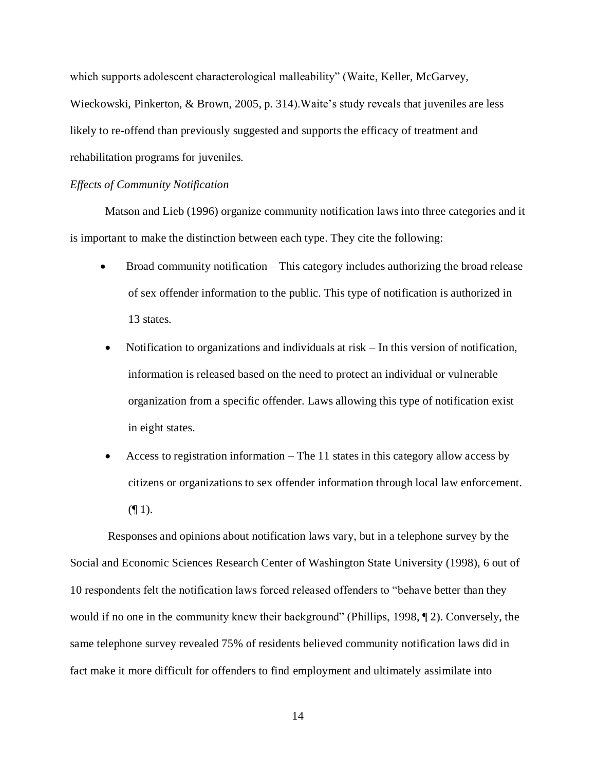which supports adolescent characterological malleability" (Waite, Keller, McGarvey, Wieckowski, Pinkerton, & Brown, 2005, p. 314). Waite's study reveals that juveniles are less likely to re-offend than previously suggested and supports the efficacy of treatment and rehabilitation programs for juveniles.

### *Effects of Community Notification*

Matson and Lieb (1996) organize community notification laws into three categories and it is important to make the distinction between each type. They cite the following:

- Broad community notification This category includes authorizing the broad release of sex offender information to the public. This type of notification is authorized in 13 states.
- Notification to organizations and individuals at risk In this version of notification, information is released based on the need to protect an individual or vulnerable organization from a specific offender. Laws allowing this type of notification exist in eight states.
- Access to registration information The 11 states in this category allow access by citizens or organizations to sex offender information through local law enforcement.  $($ | 1).

Responses and opinions about notification laws vary, but in a telephone survey by the Social and Economic Sciences Research Center of Washington State University (1998), 6 out of 10 respondents felt the notification laws forced released offenders to "behave better than they would if no one in the community knew their background" (Phillips, 1998, 12). Conversely, the same telephone survey revealed 75% of residents believed community notification laws did in fact make it more difficult for offenders to find employment and ultimately assimilate into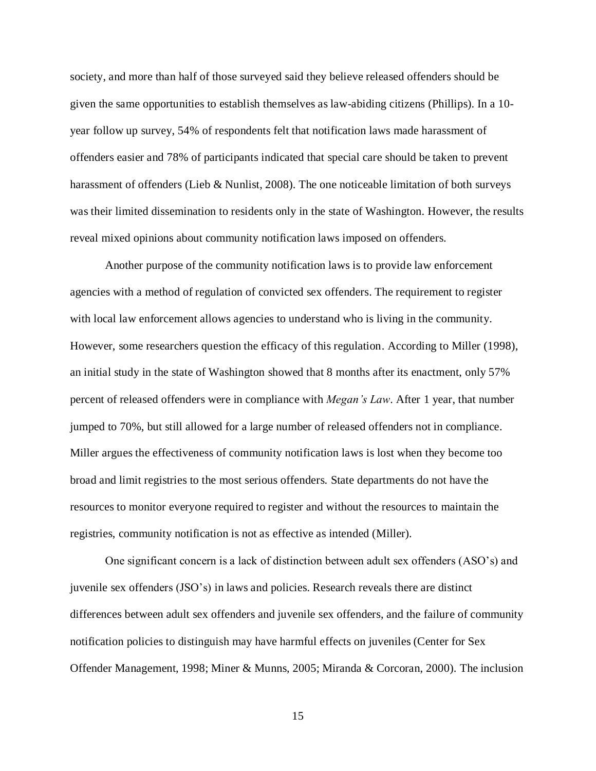society, and more than half of those surveyed said they believe released offenders should be given the same opportunities to establish themselves as law-abiding citizens (Phillips). In a 10 year follow up survey, 54% of respondents felt that notification laws made harassment of offenders easier and 78% of participants indicated that special care should be taken to prevent harassment of offenders (Lieb & Nunlist, 2008). The one noticeable limitation of both surveys was their limited dissemination to residents only in the state of Washington. However, the results reveal mixed opinions about community notification laws imposed on offenders.

Another purpose of the community notification laws is to provide law enforcement agencies with a method of regulation of convicted sex offenders. The requirement to register with local law enforcement allows agencies to understand who is living in the community. However, some researchers question the efficacy of this regulation. According to Miller (1998), an initial study in the state of Washington showed that 8 months after its enactment, only 57% percent of released offenders were in compliance with *Megan's Law*. After 1 year, that number jumped to 70%, but still allowed for a large number of released offenders not in compliance. Miller argues the effectiveness of community notification laws is lost when they become too broad and limit registries to the most serious offenders. State departments do not have the resources to monitor everyone required to register and without the resources to maintain the registries, community notification is not as effective as intended (Miller).

One significant concern is a lack of distinction between adult sex offenders (ASO"s) and juvenile sex offenders (JSO"s) in laws and policies. Research reveals there are distinct differences between adult sex offenders and juvenile sex offenders, and the failure of community notification policies to distinguish may have harmful effects on juveniles (Center for Sex Offender Management, 1998; Miner & Munns, 2005; Miranda & Corcoran, 2000). The inclusion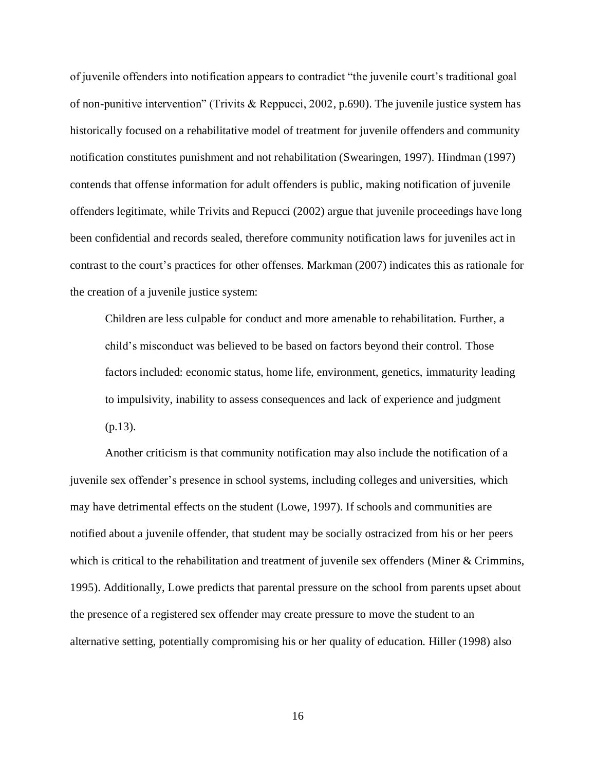of juvenile offenders into notification appears to contradict "the juvenile court"s traditional goal of non-punitive intervention" (Trivits & Reppucci, 2002, p.690). The juvenile justice system has historically focused on a rehabilitative model of treatment for juvenile offenders and community notification constitutes punishment and not rehabilitation (Swearingen, 1997). Hindman (1997) contends that offense information for adult offenders is public, making notification of juvenile offenders legitimate, while Trivits and Repucci (2002) argue that juvenile proceedings have long been confidential and records sealed, therefore community notification laws for juveniles act in contrast to the court"s practices for other offenses. Markman (2007) indicates this as rationale for the creation of a juvenile justice system:

Children are less culpable for conduct and more amenable to rehabilitation. Further, a child"s misconduct was believed to be based on factors beyond their control. Those factors included: economic status, home life, environment, genetics, immaturity leading to impulsivity, inability to assess consequences and lack of experience and judgment (p.13).

Another criticism is that community notification may also include the notification of a juvenile sex offender"s presence in school systems, including colleges and universities, which may have detrimental effects on the student (Lowe, 1997). If schools and communities are notified about a juvenile offender, that student may be socially ostracized from his or her peers which is critical to the rehabilitation and treatment of juvenile sex offenders (Miner & Crimmins, 1995). Additionally, Lowe predicts that parental pressure on the school from parents upset about the presence of a registered sex offender may create pressure to move the student to an alternative setting, potentially compromising his or her quality of education. Hiller (1998) also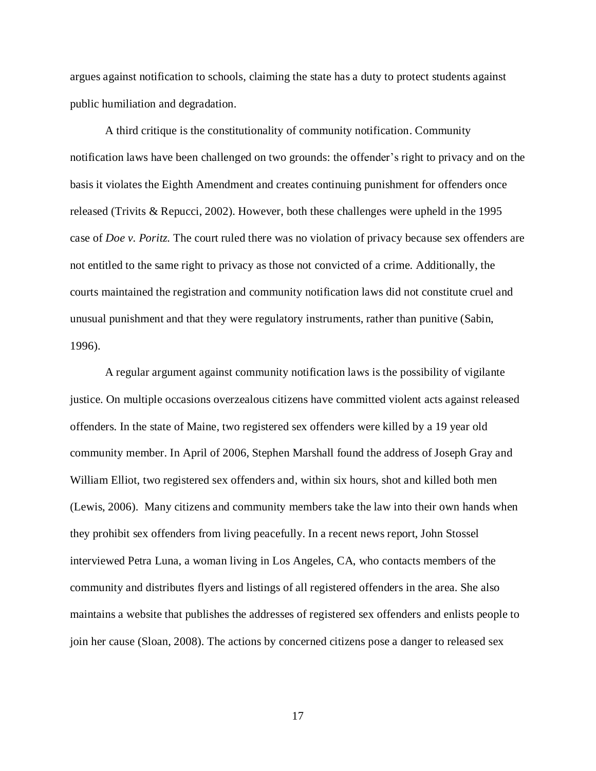argues against notification to schools, claiming the state has a duty to protect students against public humiliation and degradation.

A third critique is the constitutionality of community notification. Community notification laws have been challenged on two grounds: the offender"s right to privacy and on the basis it violates the Eighth Amendment and creates continuing punishment for offenders once released (Trivits & Repucci, 2002). However, both these challenges were upheld in the 1995 case of *Doe v. Poritz.* The court ruled there was no violation of privacy because sex offenders are not entitled to the same right to privacy as those not convicted of a crime. Additionally, the courts maintained the registration and community notification laws did not constitute cruel and unusual punishment and that they were regulatory instruments, rather than punitive (Sabin, 1996).

A regular argument against community notification laws is the possibility of vigilante justice. On multiple occasions overzealous citizens have committed violent acts against released offenders. In the state of Maine, two registered sex offenders were killed by a 19 year old community member. In April of 2006, Stephen Marshall found the address of Joseph Gray and William Elliot, two registered sex offenders and, within six hours, shot and killed both men (Lewis, 2006). Many citizens and community members take the law into their own hands when they prohibit sex offenders from living peacefully. In a recent news report, John Stossel interviewed Petra Luna, a woman living in Los Angeles, CA, who contacts members of the community and distributes flyers and listings of all registered offenders in the area. She also maintains a website that publishes the addresses of registered sex offenders and enlists people to join her cause (Sloan, 2008). The actions by concerned citizens pose a danger to released sex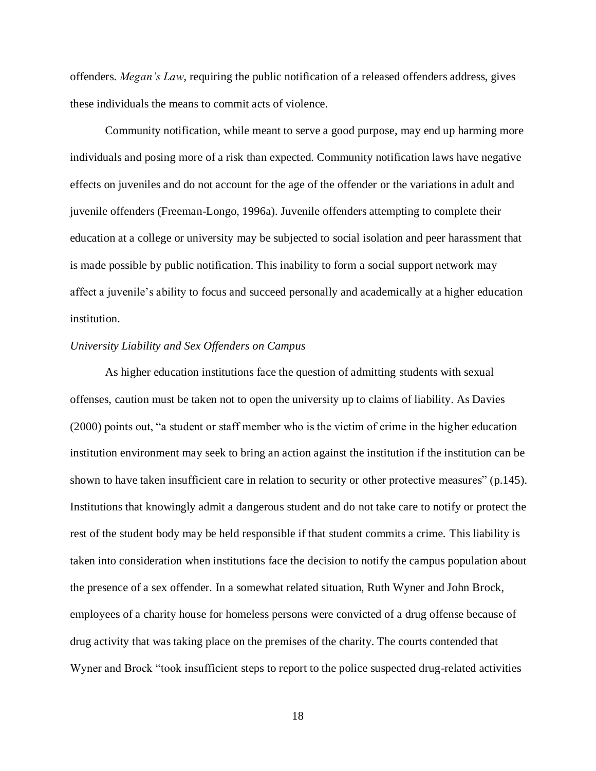offenders. *Megan's Law*, requiring the public notification of a released offenders address, gives these individuals the means to commit acts of violence.

Community notification, while meant to serve a good purpose, may end up harming more individuals and posing more of a risk than expected. Community notification laws have negative effects on juveniles and do not account for the age of the offender or the variations in adult and juvenile offenders (Freeman-Longo, 1996a). Juvenile offenders attempting to complete their education at a college or university may be subjected to social isolation and peer harassment that is made possible by public notification. This inability to form a social support network may affect a juvenile"s ability to focus and succeed personally and academically at a higher education institution.

### *University Liability and Sex Offenders on Campus*

As higher education institutions face the question of admitting students with sexual offenses, caution must be taken not to open the university up to claims of liability. As Davies (2000) points out, "a student or staff member who is the victim of crime in the higher education institution environment may seek to bring an action against the institution if the institution can be shown to have taken insufficient care in relation to security or other protective measures" (p.145). Institutions that knowingly admit a dangerous student and do not take care to notify or protect the rest of the student body may be held responsible if that student commits a crime. This liability is taken into consideration when institutions face the decision to notify the campus population about the presence of a sex offender. In a somewhat related situation, Ruth Wyner and John Brock, employees of a charity house for homeless persons were convicted of a drug offense because of drug activity that was taking place on the premises of the charity. The courts contended that Wyner and Brock "took insufficient steps to report to the police suspected drug-related activities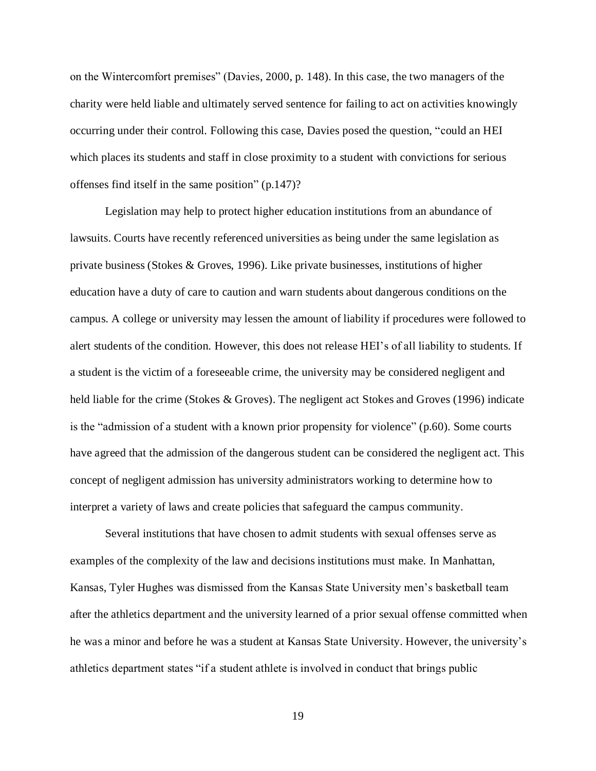on the Wintercomfort premises" (Davies, 2000, p. 148). In this case, the two managers of the charity were held liable and ultimately served sentence for failing to act on activities knowingly occurring under their control. Following this case, Davies posed the question, "could an HEI which places its students and staff in close proximity to a student with convictions for serious offenses find itself in the same position" (p.147)?

Legislation may help to protect higher education institutions from an abundance of lawsuits. Courts have recently referenced universities as being under the same legislation as private business (Stokes & Groves, 1996). Like private businesses, institutions of higher education have a duty of care to caution and warn students about dangerous conditions on the campus. A college or university may lessen the amount of liability if procedures were followed to alert students of the condition. However, this does not release HEI"s of all liability to students. If a student is the victim of a foreseeable crime, the university may be considered negligent and held liable for the crime (Stokes & Groves). The negligent act Stokes and Groves (1996) indicate is the "admission of a student with a known prior propensity for violence" (p.60). Some courts have agreed that the admission of the dangerous student can be considered the negligent act. This concept of negligent admission has university administrators working to determine how to interpret a variety of laws and create policies that safeguard the campus community.

Several institutions that have chosen to admit students with sexual offenses serve as examples of the complexity of the law and decisions institutions must make. In Manhattan, Kansas, Tyler Hughes was dismissed from the Kansas State University men"s basketball team after the athletics department and the university learned of a prior sexual offense committed when he was a minor and before he was a student at Kansas State University. However, the university's athletics department states "if a student athlete is involved in conduct that brings public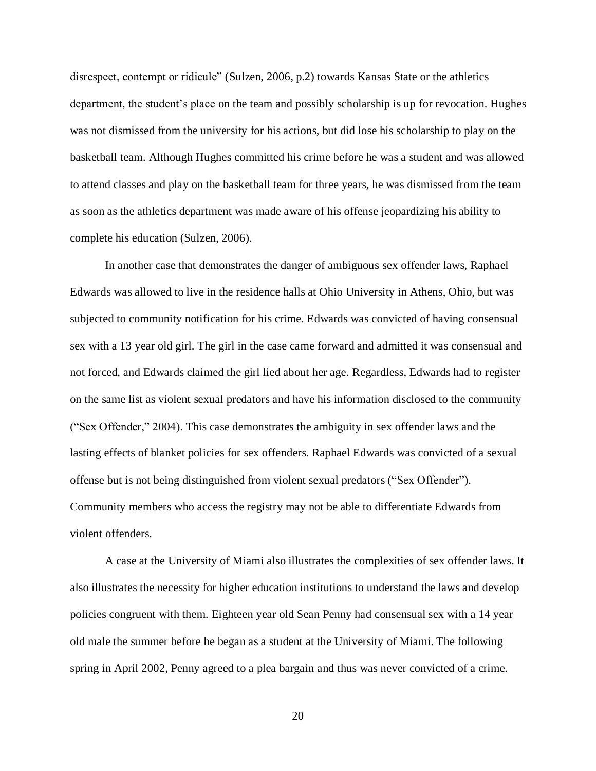disrespect, contempt or ridicule" (Sulzen, 2006, p.2) towards Kansas State or the athletics department, the student's place on the team and possibly scholarship is up for revocation. Hughes was not dismissed from the university for his actions, but did lose his scholarship to play on the basketball team. Although Hughes committed his crime before he was a student and was allowed to attend classes and play on the basketball team for three years, he was dismissed from the team as soon as the athletics department was made aware of his offense jeopardizing his ability to complete his education (Sulzen, 2006).

In another case that demonstrates the danger of ambiguous sex offender laws, Raphael Edwards was allowed to live in the residence halls at Ohio University in Athens, Ohio, but was subjected to community notification for his crime. Edwards was convicted of having consensual sex with a 13 year old girl. The girl in the case came forward and admitted it was consensual and not forced, and Edwards claimed the girl lied about her age. Regardless, Edwards had to register on the same list as violent sexual predators and have his information disclosed to the community ("Sex Offender," 2004). This case demonstrates the ambiguity in sex offender laws and the lasting effects of blanket policies for sex offenders. Raphael Edwards was convicted of a sexual offense but is not being distinguished from violent sexual predators ("Sex Offender"). Community members who access the registry may not be able to differentiate Edwards from violent offenders.

A case at the University of Miami also illustrates the complexities of sex offender laws. It also illustrates the necessity for higher education institutions to understand the laws and develop policies congruent with them. Eighteen year old Sean Penny had consensual sex with a 14 year old male the summer before he began as a student at the University of Miami. The following spring in April 2002, Penny agreed to a plea bargain and thus was never convicted of a crime.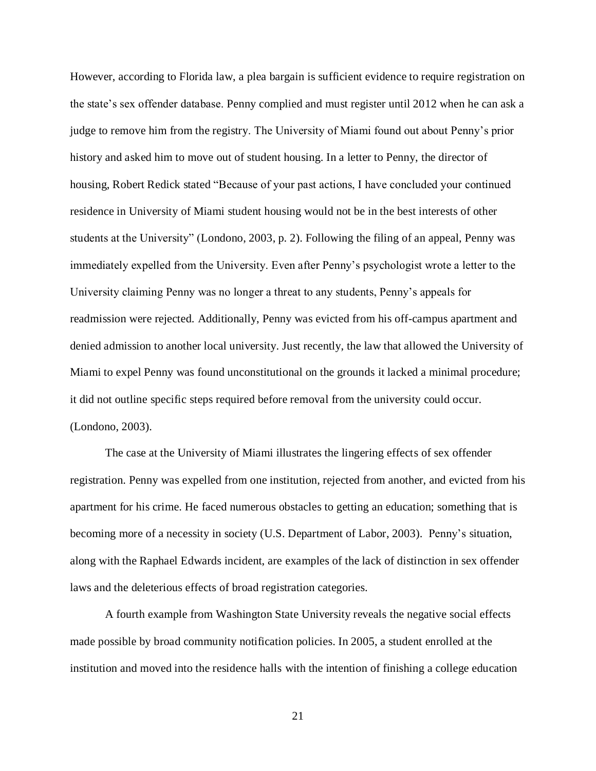However, according to Florida law, a plea bargain is sufficient evidence to require registration on the state"s sex offender database. Penny complied and must register until 2012 when he can ask a judge to remove him from the registry. The University of Miami found out about Penny"s prior history and asked him to move out of student housing. In a letter to Penny, the director of housing, Robert Redick stated "Because of your past actions, I have concluded your continued residence in University of Miami student housing would not be in the best interests of other students at the University" (Londono, 2003, p. 2). Following the filing of an appeal, Penny was immediately expelled from the University. Even after Penny"s psychologist wrote a letter to the University claiming Penny was no longer a threat to any students, Penny"s appeals for readmission were rejected. Additionally, Penny was evicted from his off-campus apartment and denied admission to another local university. Just recently, the law that allowed the University of Miami to expel Penny was found unconstitutional on the grounds it lacked a minimal procedure; it did not outline specific steps required before removal from the university could occur. (Londono, 2003).

The case at the University of Miami illustrates the lingering effects of sex offender registration. Penny was expelled from one institution, rejected from another, and evicted from his apartment for his crime. He faced numerous obstacles to getting an education; something that is becoming more of a necessity in society (U.S. Department of Labor, 2003). Penny"s situation, along with the Raphael Edwards incident, are examples of the lack of distinction in sex offender laws and the deleterious effects of broad registration categories.

A fourth example from Washington State University reveals the negative social effects made possible by broad community notification policies. In 2005, a student enrolled at the institution and moved into the residence halls with the intention of finishing a college education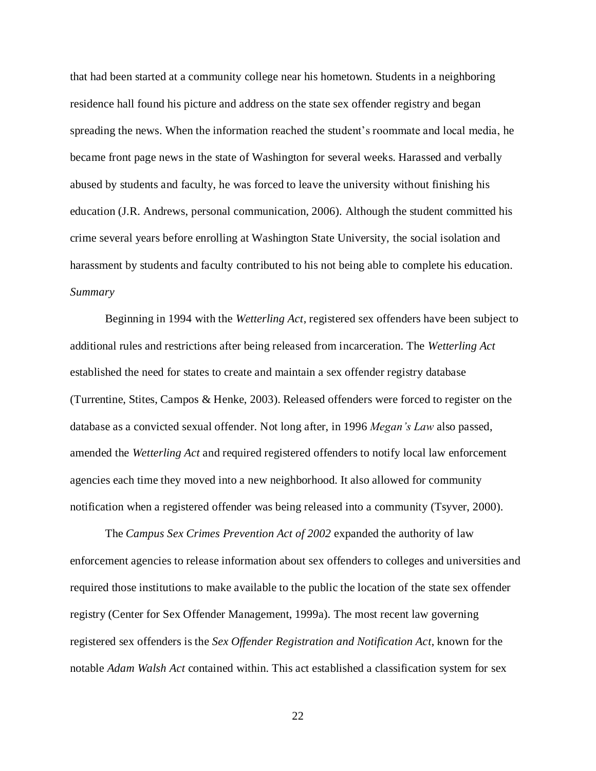that had been started at a community college near his hometown. Students in a neighboring residence hall found his picture and address on the state sex offender registry and began spreading the news. When the information reached the student"s roommate and local media, he became front page news in the state of Washington for several weeks. Harassed and verbally abused by students and faculty, he was forced to leave the university without finishing his education (J.R. Andrews, personal communication, 2006). Although the student committed his crime several years before enrolling at Washington State University, the social isolation and harassment by students and faculty contributed to his not being able to complete his education. *Summary*

Beginning in 1994 with the *Wetterling Act*, registered sex offenders have been subject to additional rules and restrictions after being released from incarceration. The *Wetterling Act* established the need for states to create and maintain a sex offender registry database (Turrentine, Stites, Campos & Henke, 2003). Released offenders were forced to register on the database as a convicted sexual offender. Not long after, in 1996 *Megan's Law* also passed, amended the *Wetterling Act* and required registered offenders to notify local law enforcement agencies each time they moved into a new neighborhood. It also allowed for community notification when a registered offender was being released into a community (Tsyver, 2000).

The *Campus Sex Crimes Prevention Act of 2002* expanded the authority of law enforcement agencies to release information about sex offenders to colleges and universities and required those institutions to make available to the public the location of the state sex offender registry (Center for Sex Offender Management, 1999a). The most recent law governing registered sex offenders is the *Sex Offender Registration and Notification Act*, known for the notable *Adam Walsh Act* contained within. This act established a classification system for sex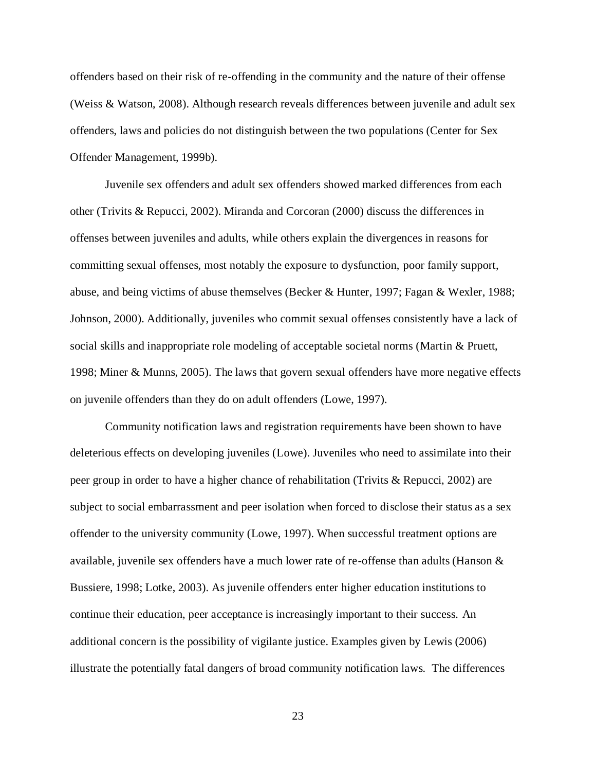offenders based on their risk of re-offending in the community and the nature of their offense (Weiss & Watson, 2008). Although research reveals differences between juvenile and adult sex offenders, laws and policies do not distinguish between the two populations (Center for Sex Offender Management, 1999b).

Juvenile sex offenders and adult sex offenders showed marked differences from each other (Trivits & Repucci, 2002). Miranda and Corcoran (2000) discuss the differences in offenses between juveniles and adults, while others explain the divergences in reasons for committing sexual offenses, most notably the exposure to dysfunction, poor family support, abuse, and being victims of abuse themselves (Becker & Hunter, 1997; Fagan & Wexler, 1988; Johnson, 2000). Additionally, juveniles who commit sexual offenses consistently have a lack of social skills and inappropriate role modeling of acceptable societal norms (Martin & Pruett, 1998; Miner & Munns, 2005). The laws that govern sexual offenders have more negative effects on juvenile offenders than they do on adult offenders (Lowe, 1997).

Community notification laws and registration requirements have been shown to have deleterious effects on developing juveniles (Lowe). Juveniles who need to assimilate into their peer group in order to have a higher chance of rehabilitation (Trivits & Repucci, 2002) are subject to social embarrassment and peer isolation when forced to disclose their status as a sex offender to the university community (Lowe, 1997). When successful treatment options are available, juvenile sex offenders have a much lower rate of re-offense than adults (Hanson & Bussiere, 1998; Lotke, 2003). As juvenile offenders enter higher education institutions to continue their education, peer acceptance is increasingly important to their success. An additional concern is the possibility of vigilante justice. Examples given by Lewis (2006) illustrate the potentially fatal dangers of broad community notification laws. The differences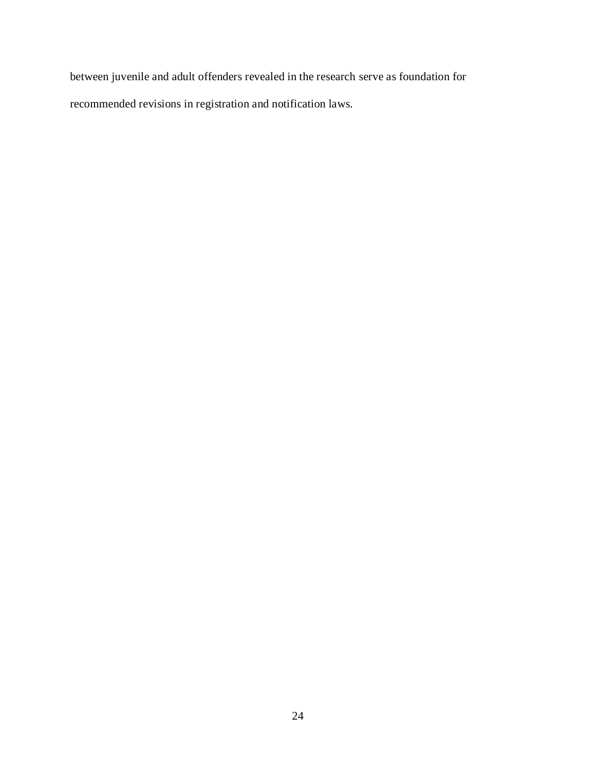between juvenile and adult offenders revealed in the research serve as foundation for recommended revisions in registration and notification laws.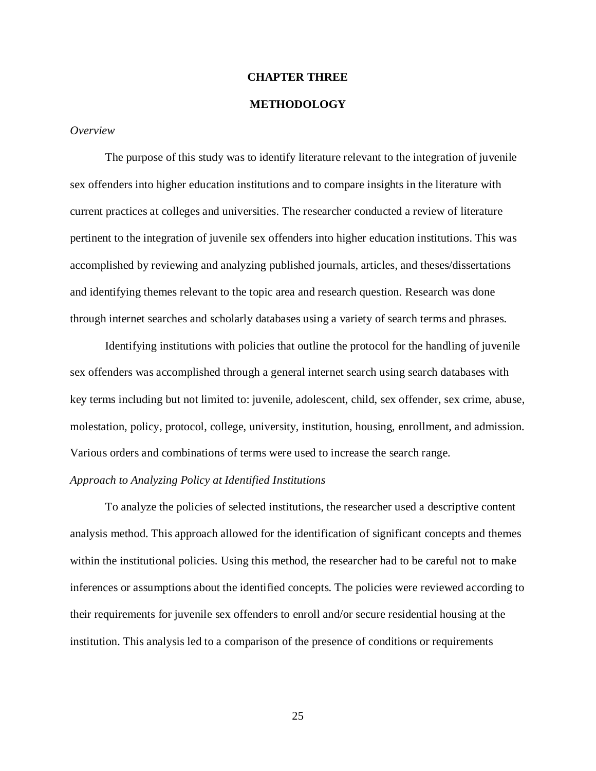### **CHAPTER THREE**

### **METHODOLOGY**

#### *Overview*

The purpose of this study was to identify literature relevant to the integration of juvenile sex offenders into higher education institutions and to compare insights in the literature with current practices at colleges and universities. The researcher conducted a review of literature pertinent to the integration of juvenile sex offenders into higher education institutions. This was accomplished by reviewing and analyzing published journals, articles, and theses/dissertations and identifying themes relevant to the topic area and research question. Research was done through internet searches and scholarly databases using a variety of search terms and phrases.

Identifying institutions with policies that outline the protocol for the handling of juvenile sex offenders was accomplished through a general internet search using search databases with key terms including but not limited to: juvenile, adolescent, child, sex offender, sex crime, abuse, molestation, policy, protocol, college, university, institution, housing, enrollment, and admission. Various orders and combinations of terms were used to increase the search range.

### *Approach to Analyzing Policy at Identified Institutions*

To analyze the policies of selected institutions, the researcher used a descriptive content analysis method. This approach allowed for the identification of significant concepts and themes within the institutional policies. Using this method, the researcher had to be careful not to make inferences or assumptions about the identified concepts. The policies were reviewed according to their requirements for juvenile sex offenders to enroll and/or secure residential housing at the institution. This analysis led to a comparison of the presence of conditions or requirements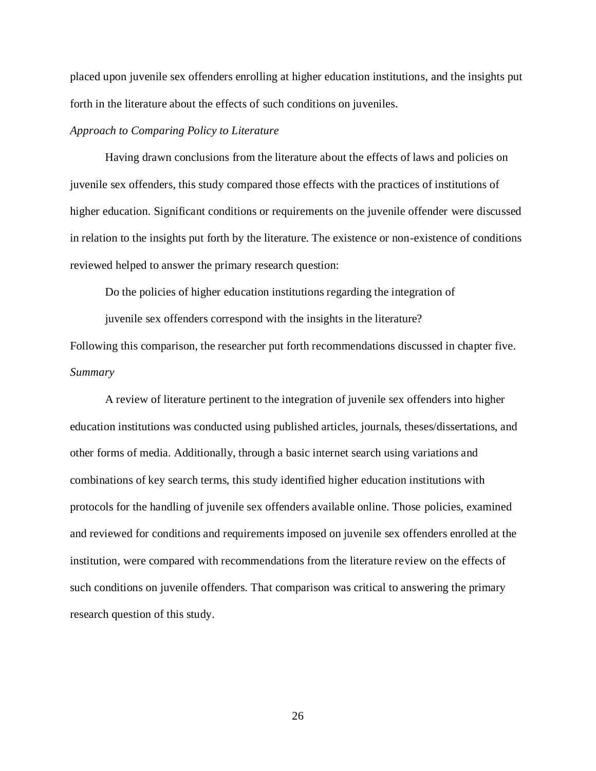placed upon juvenile sex offenders enrolling at higher education institutions, and the insights put forth in the literature about the effects of such conditions on juveniles.

### *Approach to Comparing Policy to Literature*

Having drawn conclusions from the literature about the effects of laws and policies on juvenile sex offenders, this study compared those effects with the practices of institutions of higher education. Significant conditions or requirements on the juvenile offender were discussed in relation to the insights put forth by the literature. The existence or non-existence of conditions reviewed helped to answer the primary research question:

Do the policies of higher education institutions regarding the integration of

juvenile sex offenders correspond with the insights in the literature?

Following this comparison, the researcher put forth recommendations discussed in chapter five. *Summary*

A review of literature pertinent to the integration of juvenile sex offenders into higher education institutions was conducted using published articles, journals, theses/dissertations, and other forms of media. Additionally, through a basic internet search using variations and combinations of key search terms, this study identified higher education institutions with protocols for the handling of juvenile sex offenders available online. Those policies, examined and reviewed for conditions and requirements imposed on juvenile sex offenders enrolled at the institution, were compared with recommendations from the literature review on the effects of such conditions on juvenile offenders. That comparison was critical to answering the primary research question of this study.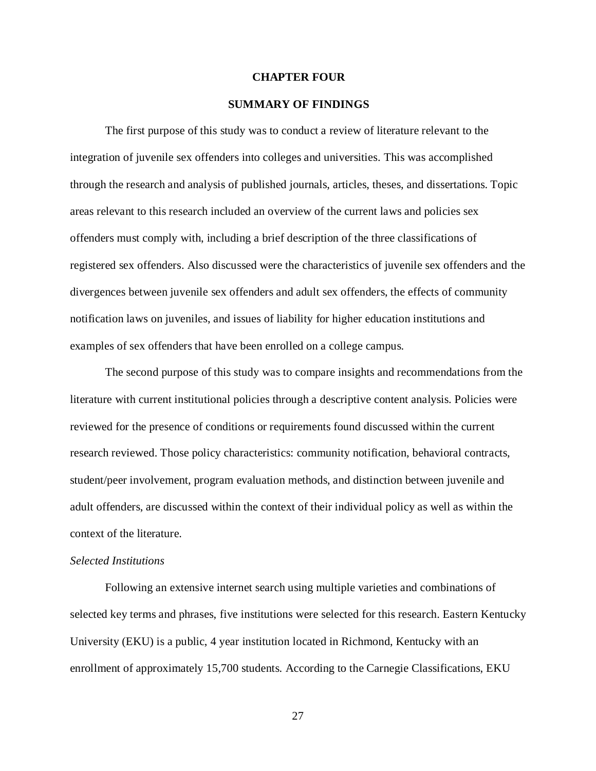### **CHAPTER FOUR**

### **SUMMARY OF FINDINGS**

The first purpose of this study was to conduct a review of literature relevant to the integration of juvenile sex offenders into colleges and universities. This was accomplished through the research and analysis of published journals, articles, theses, and dissertations. Topic areas relevant to this research included an overview of the current laws and policies sex offenders must comply with, including a brief description of the three classifications of registered sex offenders. Also discussed were the characteristics of juvenile sex offenders and the divergences between juvenile sex offenders and adult sex offenders, the effects of community notification laws on juveniles, and issues of liability for higher education institutions and examples of sex offenders that have been enrolled on a college campus.

The second purpose of this study was to compare insights and recommendations from the literature with current institutional policies through a descriptive content analysis. Policies were reviewed for the presence of conditions or requirements found discussed within the current research reviewed. Those policy characteristics: community notification, behavioral contracts, student/peer involvement, program evaluation methods, and distinction between juvenile and adult offenders, are discussed within the context of their individual policy as well as within the context of the literature.

#### *Selected Institutions*

Following an extensive internet search using multiple varieties and combinations of selected key terms and phrases, five institutions were selected for this research. Eastern Kentucky University (EKU) is a public, 4 year institution located in Richmond, Kentucky with an enrollment of approximately 15,700 students. According to the Carnegie Classifications, EKU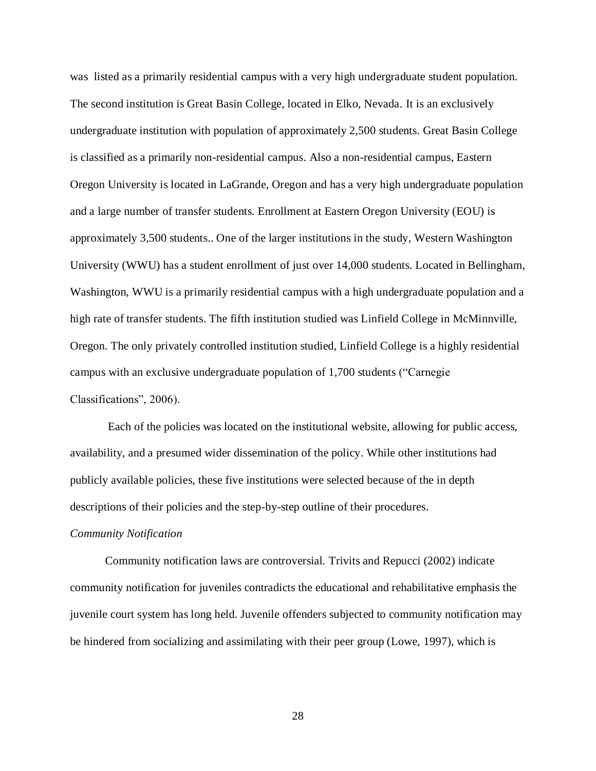was listed as a primarily residential campus with a very high undergraduate student population. The second institution is Great Basin College, located in Elko, Nevada. It is an exclusively undergraduate institution with population of approximately 2,500 students. Great Basin College is classified as a primarily non-residential campus. Also a non-residential campus, Eastern Oregon University is located in LaGrande, Oregon and has a very high undergraduate population and a large number of transfer students. Enrollment at Eastern Oregon University (EOU) is approximately 3,500 students.. One of the larger institutions in the study, Western Washington University (WWU) has a student enrollment of just over 14,000 students. Located in Bellingham, Washington, WWU is a primarily residential campus with a high undergraduate population and a high rate of transfer students. The fifth institution studied was Linfield College in McMinnville, Oregon. The only privately controlled institution studied, Linfield College is a highly residential campus with an exclusive undergraduate population of 1,700 students ("Carnegie Classifications", 2006).

Each of the policies was located on the institutional website, allowing for public access, availability, and a presumed wider dissemination of the policy. While other institutions had publicly available policies, these five institutions were selected because of the in depth descriptions of their policies and the step-by-step outline of their procedures.

#### *Community Notification*

Community notification laws are controversial. Trivits and Repucci (2002) indicate community notification for juveniles contradicts the educational and rehabilitative emphasis the juvenile court system has long held. Juvenile offenders subjected to community notification may be hindered from socializing and assimilating with their peer group (Lowe, 1997), which is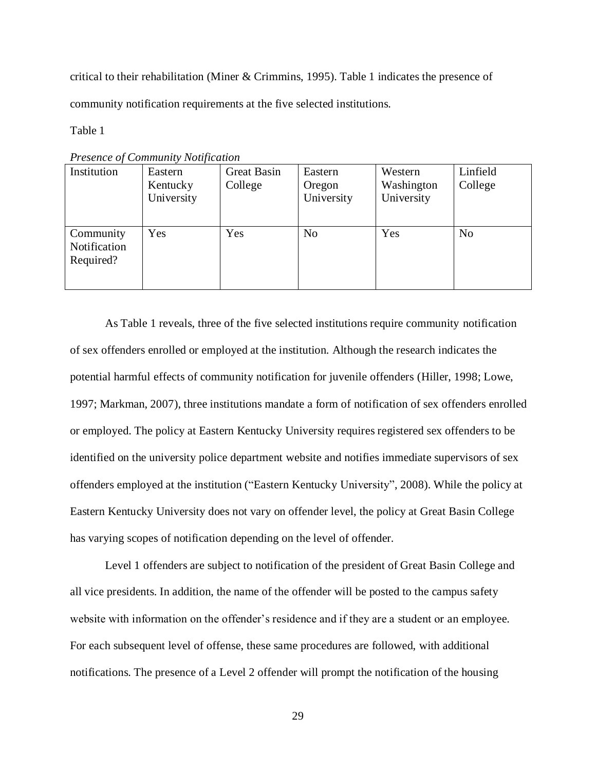critical to their rehabilitation (Miner & Crimmins, 1995). Table 1 indicates the presence of community notification requirements at the five selected institutions.

Table 1

| <b>Fresence of Community Noufication</b> |            |             |                |            |                |
|------------------------------------------|------------|-------------|----------------|------------|----------------|
| Institution                              | Eastern    | Great Basin | Eastern        | Western    | Linfield       |
|                                          | Kentucky   | College     | Oregon         | Washington | College        |
|                                          | University |             | University     | University |                |
|                                          |            |             |                |            |                |
|                                          |            |             |                |            |                |
| Community                                | Yes        | Yes         | N <sub>o</sub> | Yes        | N <sub>o</sub> |
| Notification                             |            |             |                |            |                |
| Required?                                |            |             |                |            |                |
|                                          |            |             |                |            |                |
|                                          |            |             |                |            |                |

*Presence of Community Notification*

As Table 1 reveals, three of the five selected institutions require community notification of sex offenders enrolled or employed at the institution. Although the research indicates the potential harmful effects of community notification for juvenile offenders (Hiller, 1998; Lowe, 1997; Markman, 2007), three institutions mandate a form of notification of sex offenders enrolled or employed. The policy at Eastern Kentucky University requires registered sex offenders to be identified on the university police department website and notifies immediate supervisors of sex offenders employed at the institution ("Eastern Kentucky University", 2008). While the policy at Eastern Kentucky University does not vary on offender level, the policy at Great Basin College has varying scopes of notification depending on the level of offender.

Level 1 offenders are subject to notification of the president of Great Basin College and all vice presidents. In addition, the name of the offender will be posted to the campus safety website with information on the offender"s residence and if they are a student or an employee. For each subsequent level of offense, these same procedures are followed, with additional notifications. The presence of a Level 2 offender will prompt the notification of the housing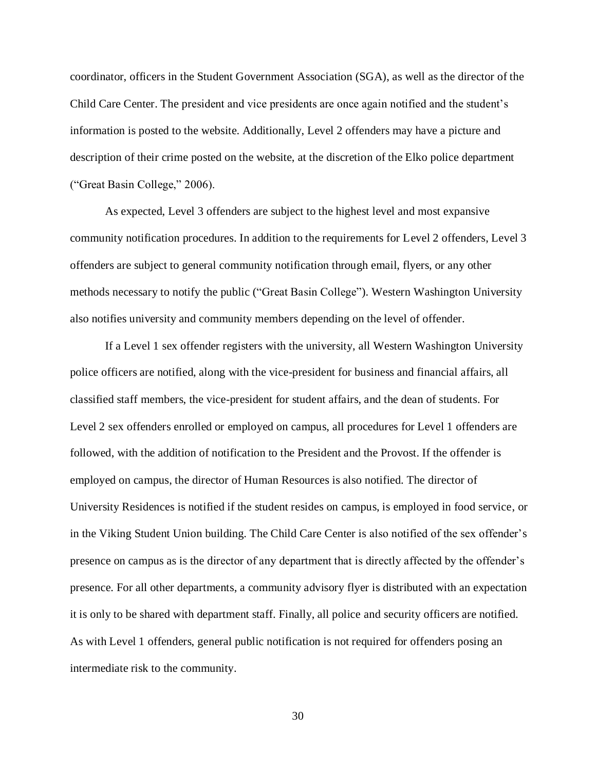coordinator, officers in the Student Government Association (SGA), as well as the director of the Child Care Center. The president and vice presidents are once again notified and the student"s information is posted to the website. Additionally, Level 2 offenders may have a picture and description of their crime posted on the website, at the discretion of the Elko police department ("Great Basin College," 2006).

As expected, Level 3 offenders are subject to the highest level and most expansive community notification procedures. In addition to the requirements for Level 2 offenders, Level 3 offenders are subject to general community notification through email, flyers, or any other methods necessary to notify the public ("Great Basin College"). Western Washington University also notifies university and community members depending on the level of offender.

If a Level 1 sex offender registers with the university, all Western Washington University police officers are notified, along with the vice-president for business and financial affairs, all classified staff members, the vice-president for student affairs, and the dean of students. For Level 2 sex offenders enrolled or employed on campus, all procedures for Level 1 offenders are followed, with the addition of notification to the President and the Provost. If the offender is employed on campus, the director of Human Resources is also notified. The director of University Residences is notified if the student resides on campus, is employed in food service, or in the Viking Student Union building. The Child Care Center is also notified of the sex offender"s presence on campus as is the director of any department that is directly affected by the offender"s presence. For all other departments, a community advisory flyer is distributed with an expectation it is only to be shared with department staff. Finally, all police and security officers are notified. As with Level 1 offenders, general public notification is not required for offenders posing an intermediate risk to the community.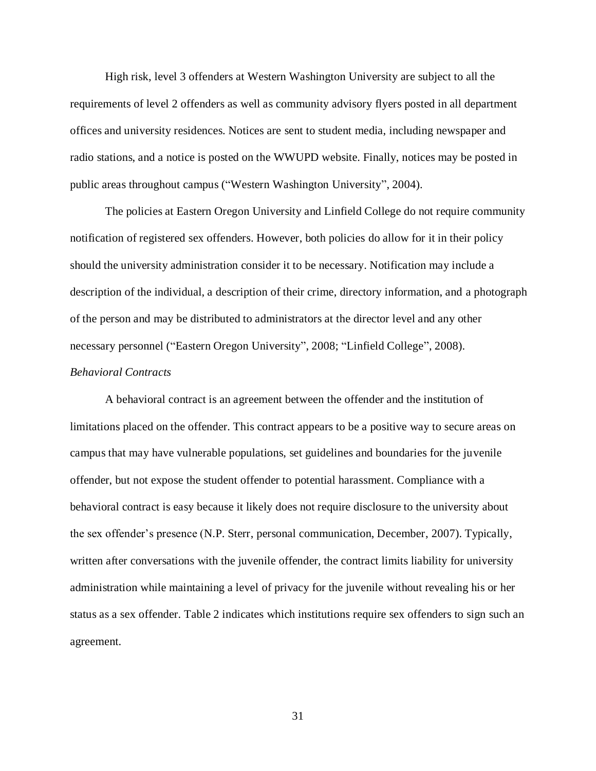High risk, level 3 offenders at Western Washington University are subject to all the requirements of level 2 offenders as well as community advisory flyers posted in all department offices and university residences. Notices are sent to student media, including newspaper and radio stations, and a notice is posted on the WWUPD website. Finally, notices may be posted in public areas throughout campus ("Western Washington University", 2004).

The policies at Eastern Oregon University and Linfield College do not require community notification of registered sex offenders. However, both policies do allow for it in their policy should the university administration consider it to be necessary. Notification may include a description of the individual, a description of their crime, directory information, and a photograph of the person and may be distributed to administrators at the director level and any other necessary personnel ("Eastern Oregon University", 2008; "Linfield College", 2008). *Behavioral Contracts*

A behavioral contract is an agreement between the offender and the institution of limitations placed on the offender. This contract appears to be a positive way to secure areas on campus that may have vulnerable populations, set guidelines and boundaries for the juvenile offender, but not expose the student offender to potential harassment. Compliance with a behavioral contract is easy because it likely does not require disclosure to the university about the sex offender"s presence (N.P. Sterr, personal communication, December, 2007). Typically, written after conversations with the juvenile offender, the contract limits liability for university administration while maintaining a level of privacy for the juvenile without revealing his or her status as a sex offender. Table 2 indicates which institutions require sex offenders to sign such an agreement.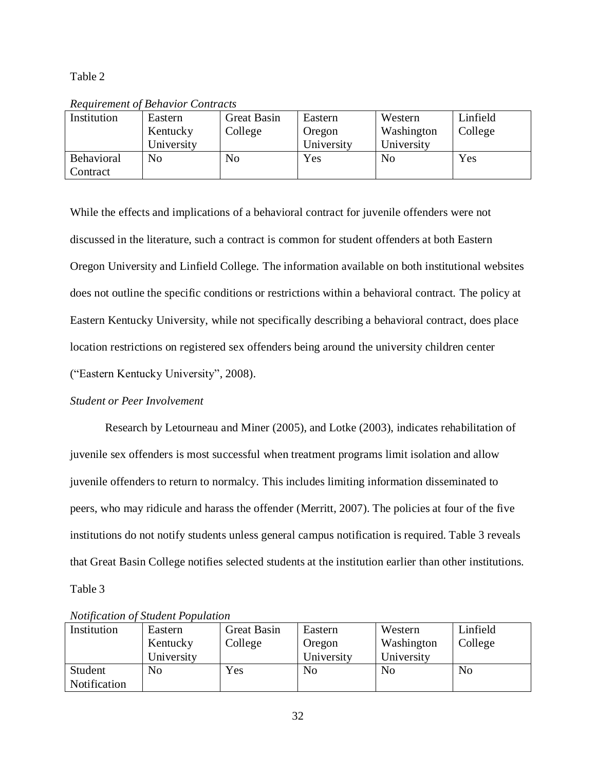Table 2

| Institution | Eastern    | <b>Great Basin</b> | Eastern    | Western    | Linfield |
|-------------|------------|--------------------|------------|------------|----------|
|             | Kentucky   | College            | Oregon     | Washington | College  |
|             | University |                    | University | University |          |
| Behavioral  | No         | No                 | Yes        | No         | Yes      |
| Contract    |            |                    |            |            |          |

*Requirement of Behavior Contracts*

While the effects and implications of a behavioral contract for juvenile offenders were not discussed in the literature, such a contract is common for student offenders at both Eastern Oregon University and Linfield College. The information available on both institutional websites does not outline the specific conditions or restrictions within a behavioral contract. The policy at Eastern Kentucky University, while not specifically describing a behavioral contract, does place location restrictions on registered sex offenders being around the university children center ("Eastern Kentucky University", 2008).

### *Student or Peer Involvement*

Research by Letourneau and Miner (2005), and Lotke (2003), indicates rehabilitation of juvenile sex offenders is most successful when treatment programs limit isolation and allow juvenile offenders to return to normalcy. This includes limiting information disseminated to peers, who may ridicule and harass the offender (Merritt, 2007). The policies at four of the five institutions do not notify students unless general campus notification is required. Table 3 reveals that Great Basin College notifies selected students at the institution earlier than other institutions. Table 3

| Institution         | Eastern    | Great Basin | Eastern        | Western    | Linfield       |
|---------------------|------------|-------------|----------------|------------|----------------|
|                     | Kentucky   | College     | Oregon         | Washington | College        |
|                     | University |             | University     | University |                |
| Student             | No         | Yes         | N <sub>o</sub> | No         | N <sub>o</sub> |
| <b>Notification</b> |            |             |                |            |                |

*Notification of Student Population*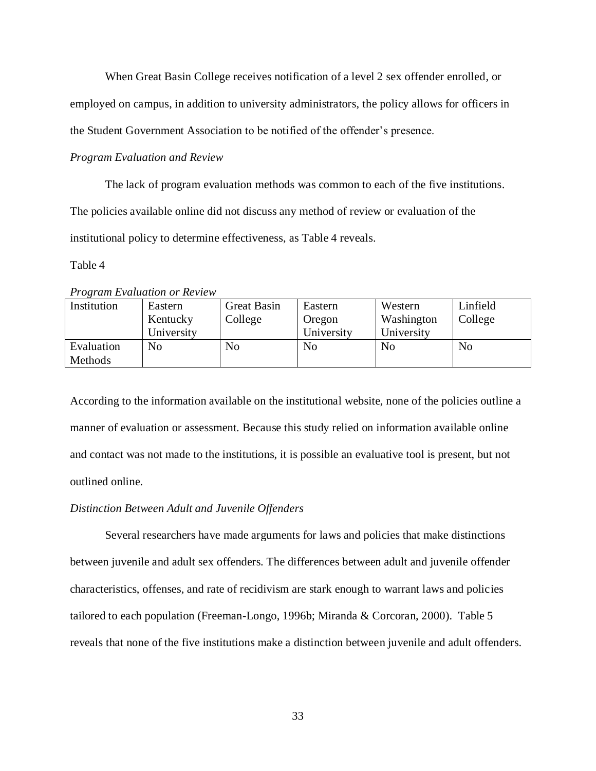When Great Basin College receives notification of a level 2 sex offender enrolled, or

employed on campus, in addition to university administrators, the policy allows for officers in

the Student Government Association to be notified of the offender"s presence.

#### *Program Evaluation and Review*

The lack of program evaluation methods was common to each of the five institutions. The policies available online did not discuss any method of review or evaluation of the institutional policy to determine effectiveness, as Table 4 reveals.

Table 4

*Program Evaluation or Review*

| Institution | Eastern    | <b>Great Basin</b> | Eastern    | Western        | Linfield       |
|-------------|------------|--------------------|------------|----------------|----------------|
|             | Kentucky   | College            | Oregon     | Washington     | College        |
|             | University |                    | University | University     |                |
| Evaluation  | No         | N <sub>0</sub>     | No         | N <sub>0</sub> | N <sub>o</sub> |
| Methods     |            |                    |            |                |                |

According to the information available on the institutional website, none of the policies outline a manner of evaluation or assessment. Because this study relied on information available online and contact was not made to the institutions, it is possible an evaluative tool is present, but not outlined online.

#### *Distinction Between Adult and Juvenile Offenders*

Several researchers have made arguments for laws and policies that make distinctions between juvenile and adult sex offenders. The differences between adult and juvenile offender characteristics, offenses, and rate of recidivism are stark enough to warrant laws and policies tailored to each population (Freeman-Longo, 1996b; Miranda & Corcoran, 2000). Table 5 reveals that none of the five institutions make a distinction between juvenile and adult offenders.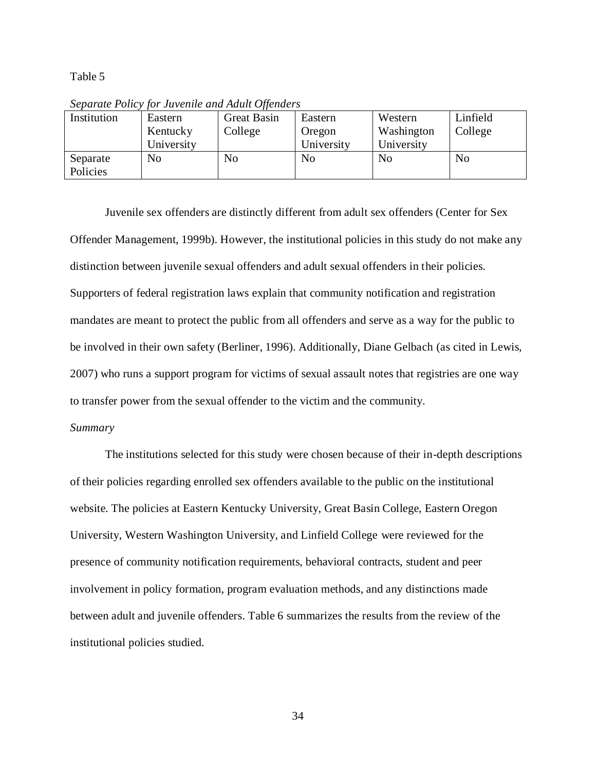Table 5

| Institution | Eastern    | $\cdot$<br><b>Great Basin</b> | Eastern        | Western    | Linfield |
|-------------|------------|-------------------------------|----------------|------------|----------|
|             | Kentucky   | College                       | Oregon         | Washington | College  |
|             | University |                               | University     | University |          |
| Separate    | No         | No                            | N <sub>o</sub> | No         | No       |
| Policies    |            |                               |                |            |          |

*Separate Policy for Juvenile and Adult Offenders*

Juvenile sex offenders are distinctly different from adult sex offenders (Center for Sex Offender Management, 1999b). However, the institutional policies in this study do not make any distinction between juvenile sexual offenders and adult sexual offenders in their policies. Supporters of federal registration laws explain that community notification and registration mandates are meant to protect the public from all offenders and serve as a way for the public to be involved in their own safety (Berliner, 1996). Additionally, Diane Gelbach (as cited in Lewis, 2007) who runs a support program for victims of sexual assault notes that registries are one way to transfer power from the sexual offender to the victim and the community.

#### *Summary*

The institutions selected for this study were chosen because of their in-depth descriptions of their policies regarding enrolled sex offenders available to the public on the institutional website. The policies at Eastern Kentucky University, Great Basin College, Eastern Oregon University, Western Washington University, and Linfield College were reviewed for the presence of community notification requirements, behavioral contracts, student and peer involvement in policy formation, program evaluation methods, and any distinctions made between adult and juvenile offenders. Table 6 summarizes the results from the review of the institutional policies studied.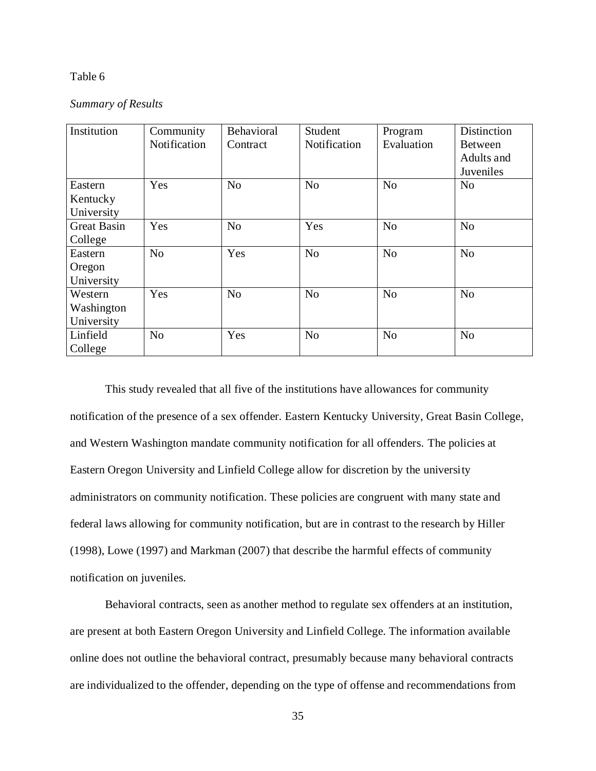#### Table 6

#### *Summary of Results*

| Institution        | Community      | Behavioral     | Student        | Program        | Distinction    |
|--------------------|----------------|----------------|----------------|----------------|----------------|
|                    | Notification   | Contract       | Notification   | Evaluation     | <b>Between</b> |
|                    |                |                |                |                | Adults and     |
|                    |                |                |                |                | Juveniles      |
| Eastern            | Yes            | N <sub>o</sub> | N <sub>o</sub> | N <sub>o</sub> | N <sub>o</sub> |
| Kentucky           |                |                |                |                |                |
| University         |                |                |                |                |                |
| <b>Great Basin</b> | Yes            | N <sub>o</sub> | Yes            | N <sub>o</sub> | N <sub>o</sub> |
| College            |                |                |                |                |                |
| Eastern            | N <sub>o</sub> | Yes            | N <sub>o</sub> | N <sub>o</sub> | N <sub>o</sub> |
| Oregon             |                |                |                |                |                |
| University         |                |                |                |                |                |
| Western            | Yes            | N <sub>o</sub> | N <sub>o</sub> | N <sub>o</sub> | N <sub>o</sub> |
| Washington         |                |                |                |                |                |
| University         |                |                |                |                |                |
| Linfield           | N <sub>o</sub> | Yes            | N <sub>o</sub> | N <sub>o</sub> | N <sub>o</sub> |
| College            |                |                |                |                |                |

This study revealed that all five of the institutions have allowances for community notification of the presence of a sex offender. Eastern Kentucky University, Great Basin College, and Western Washington mandate community notification for all offenders. The policies at Eastern Oregon University and Linfield College allow for discretion by the university administrators on community notification. These policies are congruent with many state and federal laws allowing for community notification, but are in contrast to the research by Hiller (1998), Lowe (1997) and Markman (2007) that describe the harmful effects of community notification on juveniles.

Behavioral contracts, seen as another method to regulate sex offenders at an institution, are present at both Eastern Oregon University and Linfield College. The information available online does not outline the behavioral contract, presumably because many behavioral contracts are individualized to the offender, depending on the type of offense and recommendations from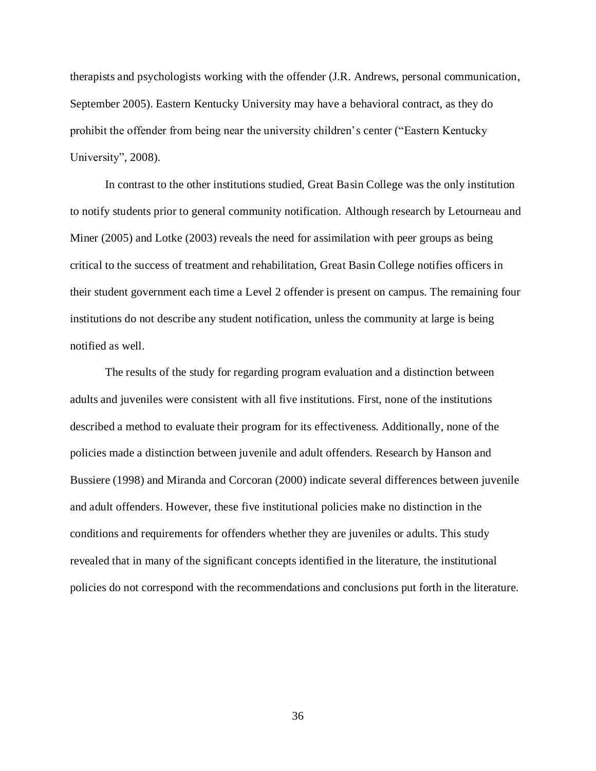therapists and psychologists working with the offender (J.R. Andrews, personal communication, September 2005). Eastern Kentucky University may have a behavioral contract, as they do prohibit the offender from being near the university children"s center ("Eastern Kentucky University", 2008).

In contrast to the other institutions studied, Great Basin College was the only institution to notify students prior to general community notification. Although research by Letourneau and Miner (2005) and Lotke (2003) reveals the need for assimilation with peer groups as being critical to the success of treatment and rehabilitation, Great Basin College notifies officers in their student government each time a Level 2 offender is present on campus. The remaining four institutions do not describe any student notification, unless the community at large is being notified as well.

The results of the study for regarding program evaluation and a distinction between adults and juveniles were consistent with all five institutions. First, none of the institutions described a method to evaluate their program for its effectiveness. Additionally, none of the policies made a distinction between juvenile and adult offenders. Research by Hanson and Bussiere (1998) and Miranda and Corcoran (2000) indicate several differences between juvenile and adult offenders. However, these five institutional policies make no distinction in the conditions and requirements for offenders whether they are juveniles or adults. This study revealed that in many of the significant concepts identified in the literature, the institutional policies do not correspond with the recommendations and conclusions put forth in the literature.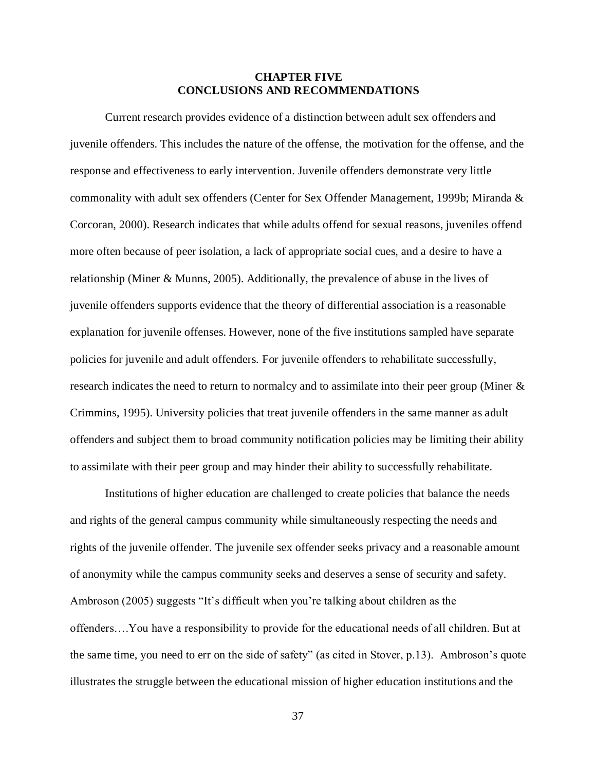#### **CHAPTER FIVE CONCLUSIONS AND RECOMMENDATIONS**

Current research provides evidence of a distinction between adult sex offenders and juvenile offenders. This includes the nature of the offense, the motivation for the offense, and the response and effectiveness to early intervention. Juvenile offenders demonstrate very little commonality with adult sex offenders (Center for Sex Offender Management, 1999b; Miranda & Corcoran, 2000). Research indicates that while adults offend for sexual reasons, juveniles offend more often because of peer isolation, a lack of appropriate social cues, and a desire to have a relationship (Miner & Munns, 2005). Additionally, the prevalence of abuse in the lives of juvenile offenders supports evidence that the theory of differential association is a reasonable explanation for juvenile offenses. However, none of the five institutions sampled have separate policies for juvenile and adult offenders. For juvenile offenders to rehabilitate successfully, research indicates the need to return to normalcy and to assimilate into their peer group (Miner & Crimmins, 1995). University policies that treat juvenile offenders in the same manner as adult offenders and subject them to broad community notification policies may be limiting their ability to assimilate with their peer group and may hinder their ability to successfully rehabilitate.

Institutions of higher education are challenged to create policies that balance the needs and rights of the general campus community while simultaneously respecting the needs and rights of the juvenile offender. The juvenile sex offender seeks privacy and a reasonable amount of anonymity while the campus community seeks and deserves a sense of security and safety. Ambroson (2005) suggests "It's difficult when you're talking about children as the offenders….You have a responsibility to provide for the educational needs of all children. But at the same time, you need to err on the side of safety" (as cited in Stover, p.13). Ambroson"s quote illustrates the struggle between the educational mission of higher education institutions and the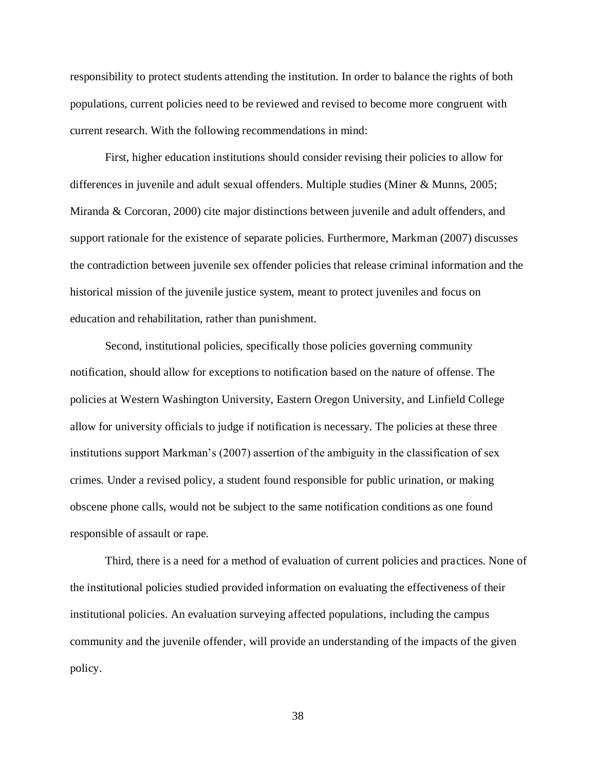responsibility to protect students attending the institution. In order to balance the rights of both populations, current policies need to be reviewed and revised to become more congruent with current research. With the following recommendations in mind:

First, higher education institutions should consider revising their policies to allow for differences in juvenile and adult sexual offenders. Multiple studies (Miner & Munns, 2005; Miranda & Corcoran, 2000) cite major distinctions between juvenile and adult offenders, and support rationale for the existence of separate policies. Furthermore, Markman (2007) discusses the contradiction between juvenile sex offender policies that release criminal information and the historical mission of the juvenile justice system, meant to protect juveniles and focus on education and rehabilitation, rather than punishment.

Second, institutional policies, specifically those policies governing community notification, should allow for exceptions to notification based on the nature of offense. The policies at Western Washington University, Eastern Oregon University, and Linfield College allow for university officials to judge if notification is necessary. The policies at these three institutions support Markman's (2007) assertion of the ambiguity in the classification of sex crimes. Under a revised policy, a student found responsible for public urination, or making obscene phone calls, would not be subject to the same notification conditions as one found responsible of assault or rape.

Third, there is a need for a method of evaluation of current policies and practices. None of the institutional policies studied provided information on evaluating the effectiveness of their institutional policies. An evaluation surveying affected populations, including the campus community and the juvenile offender, will provide an understanding of the impacts of the given policy.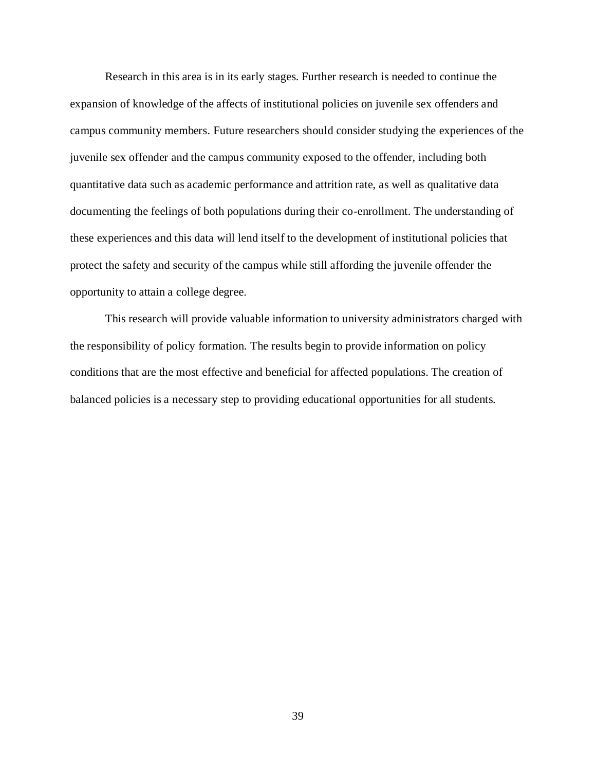Research in this area is in its early stages. Further research is needed to continue the expansion of knowledge of the affects of institutional policies on juvenile sex offenders and campus community members. Future researchers should consider studying the experiences of the juvenile sex offender and the campus community exposed to the offender, including both quantitative data such as academic performance and attrition rate, as well as qualitative data documenting the feelings of both populations during their co-enrollment. The understanding of these experiences and this data will lend itself to the development of institutional policies that protect the safety and security of the campus while still affording the juvenile offender the opportunity to attain a college degree.

This research will provide valuable information to university administrators charged with the responsibility of policy formation. The results begin to provide information on policy conditions that are the most effective and beneficial for affected populations. The creation of balanced policies is a necessary step to providing educational opportunities for all students.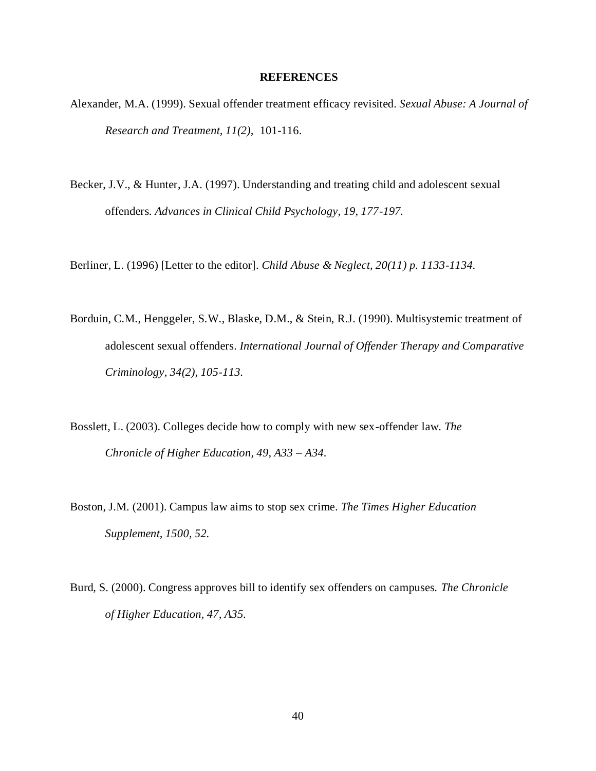#### **REFERENCES**

- Alexander, M.A. (1999). Sexual offender treatment efficacy revisited. *Sexual Abuse: A Journal of Research and Treatment, 11(2),* 101-116.
- Becker, J.V., & Hunter, J.A. (1997). Understanding and treating child and adolescent sexual offenders. *Advances in Clinical Child Psychology, 19, 177-197.*

Berliner, L. (1996) [Letter to the editor]. *Child Abuse & Neglect, 20(11) p. 1133-1134.*

- Borduin, C.M., Henggeler, S.W., Blaske, D.M., & Stein, R.J. (1990). Multisystemic treatment of adolescent sexual offenders. *International Journal of Offender Therapy and Comparative Criminology, 34(2), 105-113.*
- Bosslett, L. (2003). Colleges decide how to comply with new sex-offender law. *The Chronicle of Higher Education, 49, A33 – A34.*
- Boston, J.M. (2001). Campus law aims to stop sex crime. *The Times Higher Education Supplement, 1500, 52.*
- Burd, S. (2000). Congress approves bill to identify sex offenders on campuses. *The Chronicle of Higher Education, 47, A35.*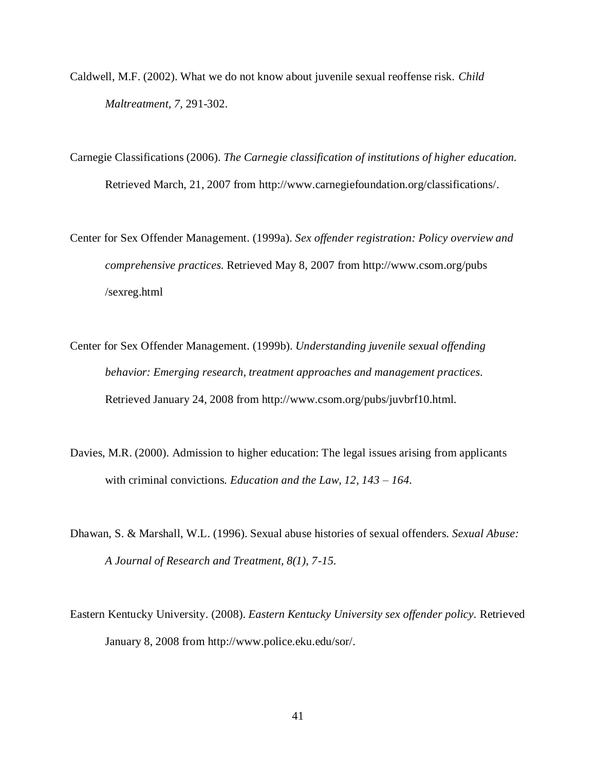- Caldwell, M.F. (2002). What we do not know about juvenile sexual reoffense risk. *Child Maltreatment, 7,* 291-302.
- Carnegie Classifications (2006). *The Carnegie classification of institutions of higher education.* Retrieved March, 21, 2007 from http://www.carnegiefoundation.org/classifications/.
- Center for Sex Offender Management. (1999a). *Sex offender registration: Policy overview and comprehensive practices.* Retrieved May 8, 2007 from http://www.csom.org/pubs /sexreg.html
- Center for Sex Offender Management. (1999b). *Understanding juvenile sexual offending behavior: Emerging research, treatment approaches and management practices.*  Retrieved January 24, 2008 from http://www.csom.org/pubs/juvbrf10.html.
- Davies, M.R. (2000). Admission to higher education: The legal issues arising from applicants with criminal convictions. *Education and the Law, 12, 143 – 164.*
- Dhawan, S. & Marshall, W.L. (1996). Sexual abuse histories of sexual offenders. *Sexual Abuse: A Journal of Research and Treatment, 8(1), 7-15.*
- Eastern Kentucky University. (2008). *Eastern Kentucky University sex offender policy.* Retrieved January 8, 2008 from http://www.police.eku.edu/sor/.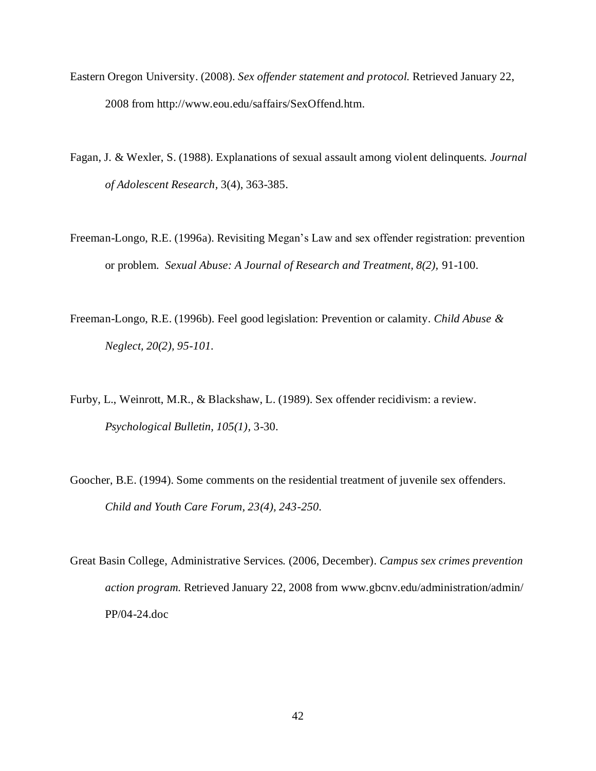- Eastern Oregon University. (2008). *Sex offender statement and protocol.* Retrieved January 22, 2008 from http://www.eou.edu/saffairs/SexOffend.htm.
- Fagan, J. & Wexler, S. (1988). Explanations of sexual assault among violent delinquents. *Journal of Adolescent Research,* 3(4), 363-385.
- Freeman-Longo, R.E. (1996a). Revisiting Megan"s Law and sex offender registration: prevention or problem. *Sexual Abuse: A Journal of Research and Treatment, 8(2),* 91-100.
- Freeman-Longo, R.E. (1996b). Feel good legislation: Prevention or calamity. *Child Abuse & Neglect, 20(2), 95-101.*
- Furby, L., Weinrott, M.R., & Blackshaw, L. (1989). Sex offender recidivism: a review. *Psychological Bulletin, 105(1),* 3-30.
- Goocher, B.E. (1994). Some comments on the residential treatment of juvenile sex offenders. *Child and Youth Care Forum, 23(4), 243-250.*
- Great Basin College, Administrative Services. (2006, December). *Campus sex crimes prevention action program.* Retrieved January 22, 2008 from www.gbcnv.edu/administration/admin/ PP/04-24.doc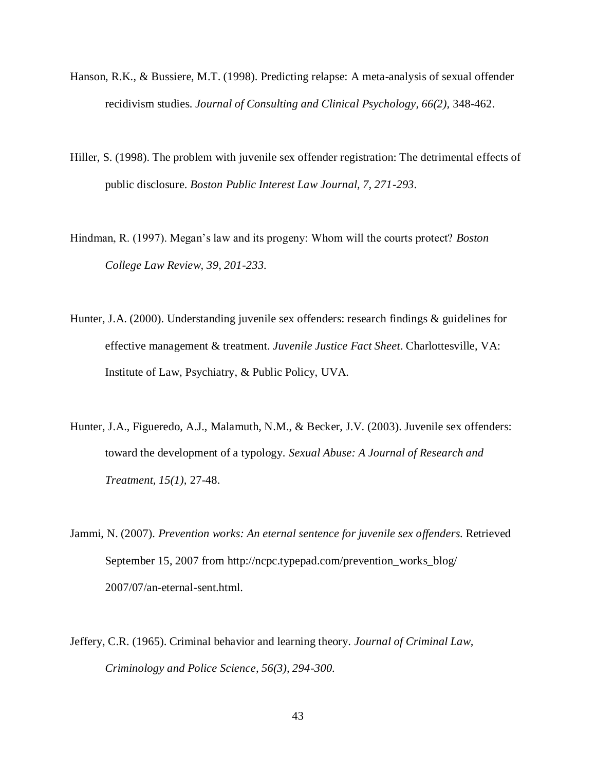- Hanson, R.K., & Bussiere, M.T. (1998). Predicting relapse: A meta-analysis of sexual offender recidivism studies. *Journal of Consulting and Clinical Psychology, 66(2),* 348-462.
- Hiller, S. (1998). The problem with juvenile sex offender registration: The detrimental effects of public disclosure. *Boston Public Interest Law Journal, 7, 271-293*.
- Hindman, R. (1997). Megan"s law and its progeny: Whom will the courts protect? *Boston College Law Review, 39, 201-233.*
- Hunter, J.A. (2000). Understanding juvenile sex offenders: research findings & guidelines for effective management & treatment. *Juvenile Justice Fact Sheet*. Charlottesville, VA: Institute of Law, Psychiatry, & Public Policy, UVA.
- Hunter, J.A., Figueredo, A.J., Malamuth, N.M., & Becker, J.V. (2003). Juvenile sex offenders: toward the development of a typology. *Sexual Abuse: A Journal of Research and Treatment, 15(1),* 27-48.
- Jammi, N. (2007). *Prevention works: An eternal sentence for juvenile sex offenders.* Retrieved September 15, 2007 from http://ncpc.typepad.com/prevention\_works\_blog/ 2007/07/an-eternal-sent.html.
- Jeffery, C.R. (1965). Criminal behavior and learning theory. *Journal of Criminal Law, Criminology and Police Science, 56(3), 294-300.*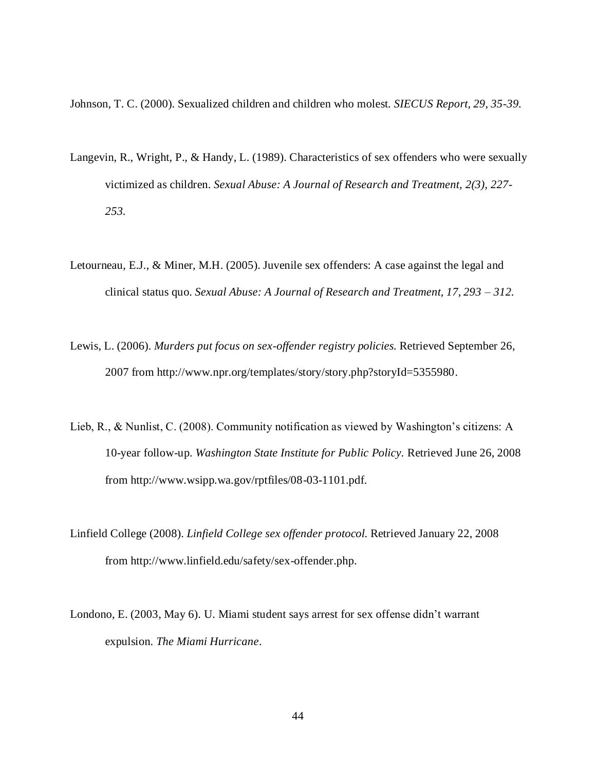Johnson, T. C. (2000). Sexualized children and children who molest. *SIECUS Report, 29, 35-39.*

- Langevin, R., Wright, P., & Handy, L. (1989). Characteristics of sex offenders who were sexually victimized as children. *Sexual Abuse: A Journal of Research and Treatment, 2(3), 227- 253.*
- Letourneau, E.J., & Miner, M.H. (2005). Juvenile sex offenders: A case against the legal and clinical status quo. *Sexual Abuse: A Journal of Research and Treatment, 17, 293 – 312.*
- Lewis, L. (2006). *Murders put focus on sex-offender registry policies.* Retrieved September 26, 2007 from http://www.npr.org/templates/story/story.php?storyId=5355980.
- Lieb, R., & Nunlist, C. (2008). Community notification as viewed by Washington"s citizens: A 10-year follow-up. *Washington State Institute for Public Policy.* Retrieved June 26, 2008 from http://www.wsipp.wa.gov/rptfiles/08-03-1101.pdf.
- Linfield College (2008). *Linfield College sex offender protocol.* Retrieved January 22, 2008 from http://www.linfield.edu/safety/sex-offender.php.
- Londono, E. (2003, May 6). U. Miami student says arrest for sex offense didn"t warrant expulsion. *The Miami Hurricane*.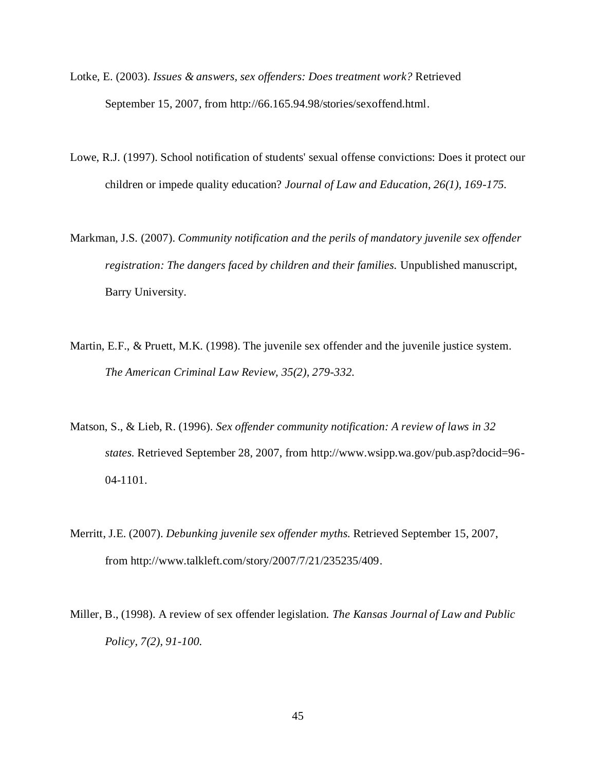- Lotke, E. (2003). *Issues & answers, sex offenders: Does treatment work?* Retrieved September 15, 2007, from http://66.165.94.98/stories/sexoffend.html.
- Lowe, R.J. (1997). School notification of students' sexual offense convictions: Does it protect our children or impede quality education? *Journal of Law and Education, 26(1), 169-175.*
- Markman, J.S. (2007). *Community notification and the perils of mandatory juvenile sex offender registration: The dangers faced by children and their families.* Unpublished manuscript, Barry University.
- Martin, E.F., & Pruett, M.K. (1998). The juvenile sex offender and the juvenile justice system. *The American Criminal Law Review, 35(2), 279-332.*
- Matson, S., & Lieb, R. (1996). *Sex offender community notification: A review of laws in 32 states.* Retrieved September 28, 2007, from http://www.wsipp.wa.gov/pub.asp?docid=96- 04-1101.
- Merritt, J.E. (2007). *Debunking juvenile sex offender myths.* Retrieved September 15, 2007, from http://www.talkleft.com/story/2007/7/21/235235/409.
- Miller, B., (1998). A review of sex offender legislation. *The Kansas Journal of Law and Public Policy, 7(2), 91-100.*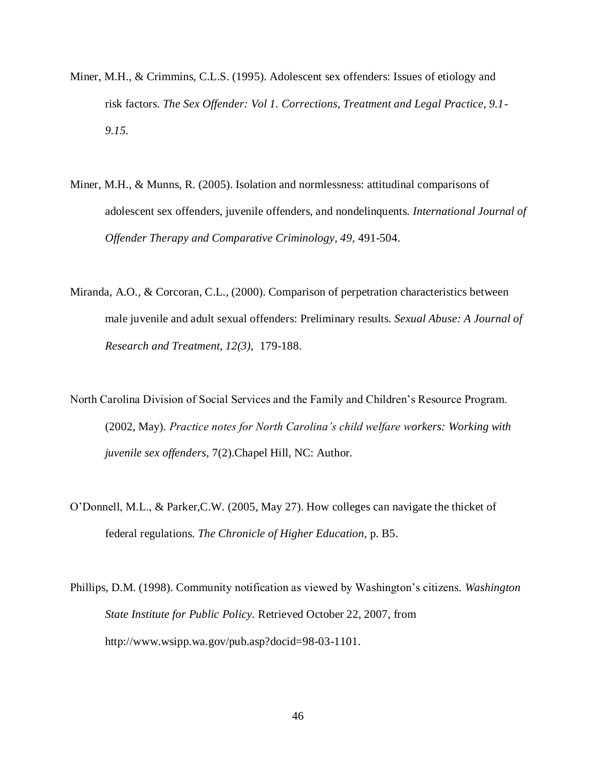- Miner, M.H., & Crimmins, C.L.S. (1995). Adolescent sex offenders: Issues of etiology and risk factors. *The Sex Offender: Vol 1. Corrections, Treatment and Legal Practice, 9.1- 9.15.*
- Miner, M.H., & Munns, R. (2005). Isolation and normlessness: attitudinal comparisons of adolescent sex offenders, juvenile offenders, and nondelinquents. *International Journal of Offender Therapy and Comparative Criminology, 49,* 491-504.
- Miranda, A.O., & Corcoran, C.L., (2000). Comparison of perpetration characteristics between male juvenile and adult sexual offenders: Preliminary results. *Sexual Abuse: A Journal of Research and Treatment, 12(3),* 179-188.
- North Carolina Division of Social Services and the Family and Children"s Resource Program. (2002, May). *Practice notes for North Carolina's child welfare workers: Working with juvenile sex offenders,* 7(2).Chapel Hill, NC: Author.
- O"Donnell, M.L., & Parker,C.W. (2005, May 27). How colleges can navigate the thicket of federal regulations. *The Chronicle of Higher Education,* p. B5.
- Phillips, D.M. (1998). Community notification as viewed by Washington"s citizens*. Washington State Institute for Public Policy.* Retrieved October 22, 2007, from http://www.wsipp.wa.gov/pub.asp?docid=98-03-1101.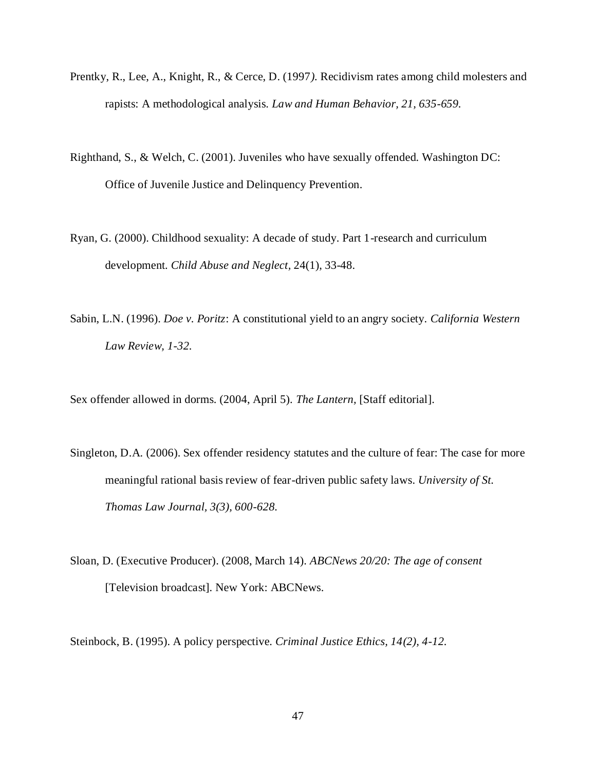- Prentky, R., Lee, A., Knight, R., & Cerce, D. (1997*).* Recidivism rates among child molesters and rapists: A methodological analysis. *Law and Human Behavior, 21, 635-659.*
- Righthand, S., & Welch, C. (2001). Juveniles who have sexually offended. Washington DC: Office of Juvenile Justice and Delinquency Prevention.
- Ryan, G. (2000). Childhood sexuality: A decade of study. Part 1-research and curriculum development. *Child Abuse and Neglect,* 24(1), 33-48.
- Sabin, L.N. (1996). *Doe v. Poritz*: A constitutional yield to an angry society. *California Western Law Review, 1-32.*

Sex offender allowed in dorms. (2004, April 5). *The Lantern,* [Staff editorial].

- Singleton, D.A. (2006). Sex offender residency statutes and the culture of fear: The case for more meaningful rational basis review of fear-driven public safety laws. *University of St. Thomas Law Journal, 3(3), 600-628.*
- Sloan, D. (Executive Producer). (2008, March 14). *ABCNews 20/20: The age of consent* [Television broadcast]. New York: ABCNews.

Steinbock, B. (1995). A policy perspective. *Criminal Justice Ethics, 14(2), 4-12.*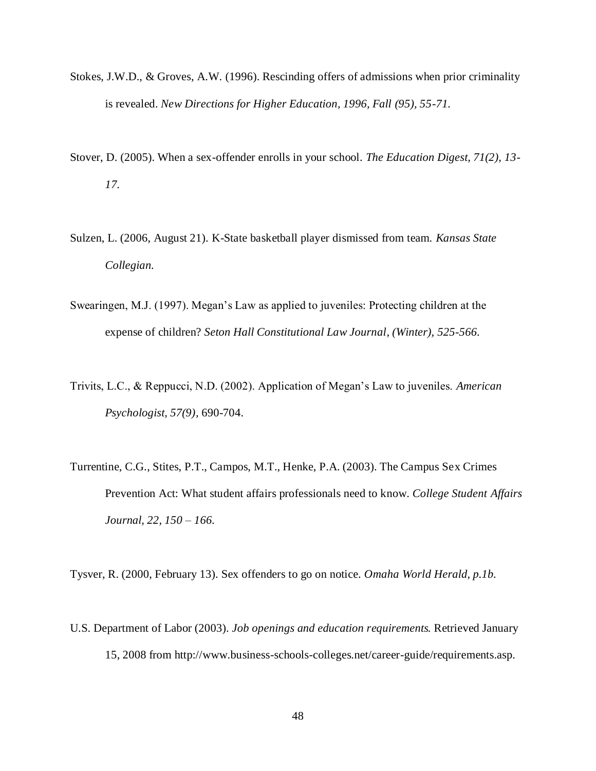- Stokes, J.W.D., & Groves, A.W. (1996). Rescinding offers of admissions when prior criminality is revealed. *New Directions for Higher Education, 1996, Fall (95), 55-71.*
- Stover, D. (2005). When a sex-offender enrolls in your school. *The Education Digest, 71(2), 13- 17.*
- Sulzen, L. (2006, August 21). K-State basketball player dismissed from team. *Kansas State Collegian.*
- Swearingen, M.J. (1997). Megan"s Law as applied to juveniles: Protecting children at the expense of children? *Seton Hall Constitutional Law Journal, (Winter), 525-566.*
- Trivits, L.C., & Reppucci, N.D. (2002). Application of Megan"s Law to juveniles. *American Psychologist, 57(9),* 690-704.
- Turrentine, C.G., Stites, P.T., Campos, M.T., Henke, P.A. (2003). The Campus Sex Crimes Prevention Act: What student affairs professionals need to know. *College Student Affairs Journal, 22, 150 – 166.*

Tysver, R. (2000, February 13). Sex offenders to go on notice. *Omaha World Herald, p.1b.*

U.S. Department of Labor (2003). *Job openings and education requirements.* Retrieved January 15, 2008 from http://www.business-schools-colleges.net/career-guide/requirements.asp.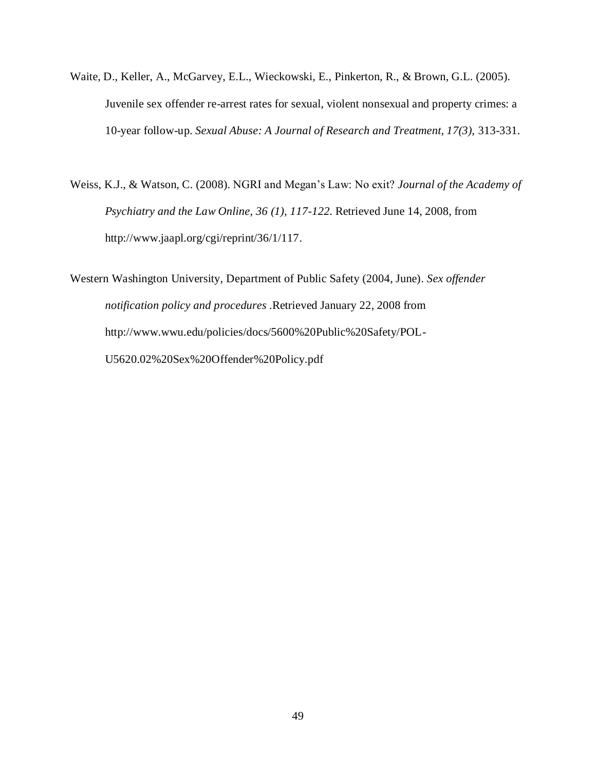- Waite, D., Keller, A., McGarvey, E.L., Wieckowski, E., Pinkerton, R., & Brown, G.L. (2005). Juvenile sex offender re-arrest rates for sexual, violent nonsexual and property crimes: a 10-year follow-up. *Sexual Abuse: A Journal of Research and Treatment, 17(3),* 313-331.
- Weiss, K.J., & Watson, C. (2008). NGRI and Megan"s Law: No exit? *Journal of the Academy of Psychiatry and the Law Online, 36 (1), 117-122.* Retrieved June 14, 2008, from http://www.jaapl.org/cgi/reprint/36/1/117.

Western Washington University, Department of Public Safety (2004, June). *Sex offender notification policy and procedures .*Retrieved January 22, 2008 from http://www.wwu.edu/policies/docs/5600%20Public%20Safety/POL-U5620.02%20Sex%20Offender%20Policy.pdf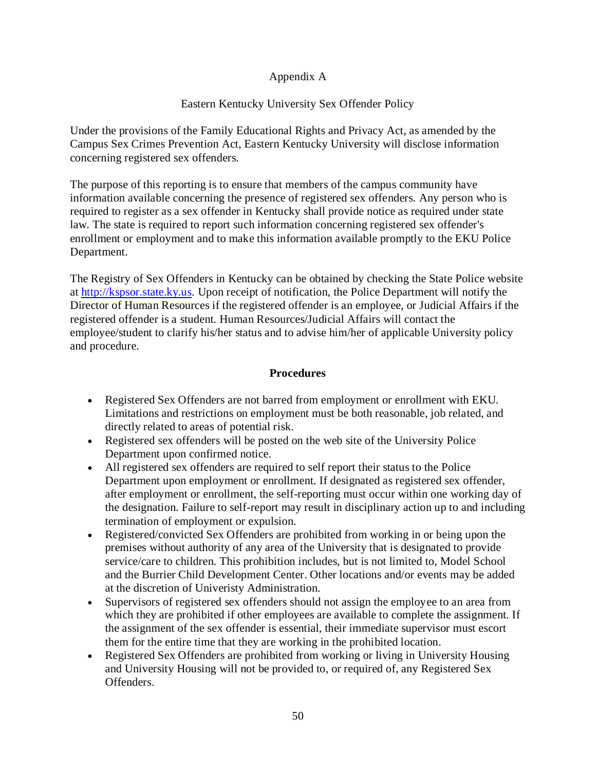# Appendix A

# Eastern Kentucky University Sex Offender Policy

Under the provisions of the Family Educational Rights and Privacy Act, as amended by the Campus Sex Crimes Prevention Act, Eastern Kentucky University will disclose information concerning registered sex offenders.

The purpose of this reporting is to ensure that members of the campus community have information available concerning the presence of registered sex offenders. Any person who is required to register as a sex offender in Kentucky shall provide notice as required under state law. The state is required to report such information concerning registered sex offender's enrollment or employment and to make this information available promptly to the EKU Police Department.

The Registry of Sex Offenders in Kentucky can be obtained by checking the State Police website at [http://kspsor.state.ky.us.](http://kspsor.state.ky.us/) Upon receipt of notification, the Police Department will notify the Director of Human Resources if the registered offender is an employee, or Judicial Affairs if the registered offender is a student. Human Resources/Judicial Affairs will contact the employee/student to clarify his/her status and to advise him/her of applicable University policy and procedure.

# **Procedures**

- Registered Sex Offenders are not barred from employment or enrollment with EKU. Limitations and restrictions on employment must be both reasonable, job related, and directly related to areas of potential risk.
- Registered sex offenders will be posted on the web site of the University Police Department upon confirmed notice.
- All registered sex offenders are required to self report their status to the Police Department upon employment or enrollment. If designated as registered sex offender, after employment or enrollment, the self-reporting must occur within one working day of the designation. Failure to self-report may result in disciplinary action up to and including termination of employment or expulsion.
- Registered/convicted Sex Offenders are prohibited from working in or being upon the premises without authority of any area of the University that is designated to provide service/care to children. This prohibition includes, but is not limited to, Model School and the Burrier Child Development Center. Other locations and/or events may be added at the discretion of Univeristy Administration.
- Supervisors of registered sex offenders should not assign the employee to an area from which they are prohibited if other employees are available to complete the assignment. If the assignment of the sex offender is essential, their immediate supervisor must escort them for the entire time that they are working in the prohibited location.
- Registered Sex Offenders are prohibited from working or living in University Housing and University Housing will not be provided to, or required of, any Registered Sex Offenders.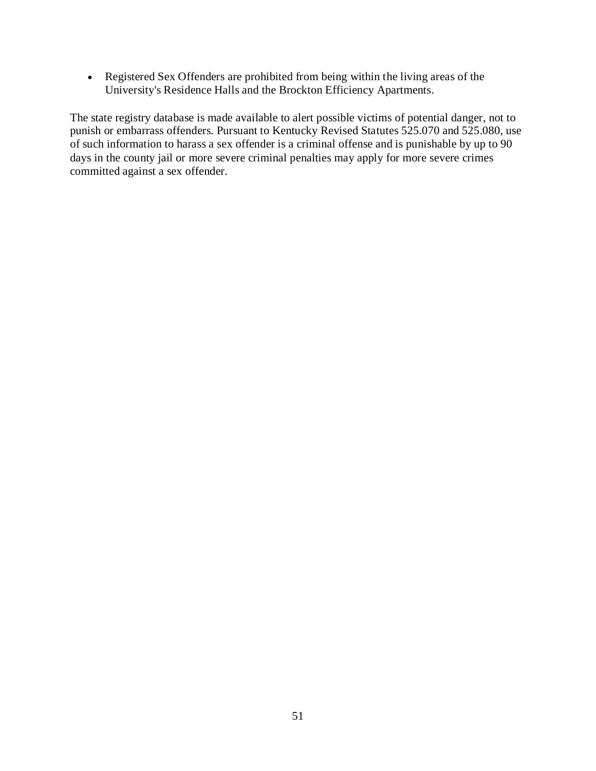Registered Sex Offenders are prohibited from being within the living areas of the University's Residence Halls and the Brockton Efficiency Apartments.

The state registry database is made available to alert possible victims of potential danger, not to punish or embarrass offenders. Pursuant to Kentucky Revised Statutes 525.070 and 525.080, use of such information to harass a sex offender is a criminal offense and is punishable by up to 90 days in the county jail or more severe criminal penalties may apply for more severe crimes committed against a sex offender.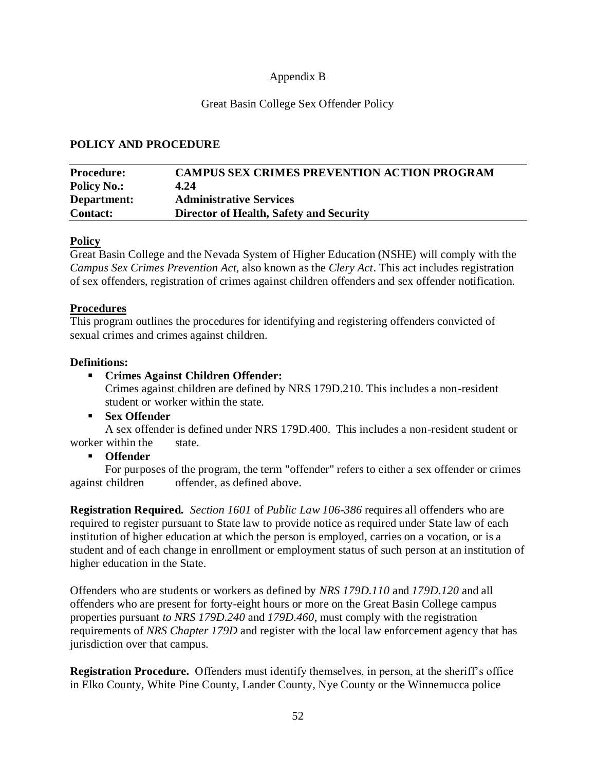## Appendix B

## Great Basin College Sex Offender Policy

## **POLICY AND PROCEDURE**

| <b>Procedure:</b>  | <b>CAMPUS SEX CRIMES PREVENTION ACTION PROGRAM</b> |
|--------------------|----------------------------------------------------|
| <b>Policy No.:</b> | 4.24                                               |
| Department:        | <b>Administrative Services</b>                     |
| <b>Contact:</b>    | Director of Health, Safety and Security            |

### **Policy**

Great Basin College and the Nevada System of Higher Education (NSHE) will comply with the *Campus Sex Crimes Prevention Act,* also known as the *Clery Act*. This act includes registration of sex offenders, registration of crimes against children offenders and sex offender notification.

### **Procedures**

This program outlines the procedures for identifying and registering offenders convicted of sexual crimes and crimes against children.

### **Definitions:**

## **Crimes Against Children Offender:**

Crimes against children are defined by NRS 179D.210. This includes a non-resident student or worker within the state.

**Sex Offender**

A sex offender is defined under NRS 179D.400. This includes a non-resident student or worker within the state

### **Offender**

For purposes of the program, the term "offender" refers to either a sex offender or crimes against children offender, as defined above.

**Registration Required***. Section 1601* of *Public Law 106-386* requires all offenders who are required to register pursuant to State law to provide notice as required under State law of each institution of higher education at which the person is employed, carries on a vocation, or is a student and of each change in enrollment or employment status of such person at an institution of higher education in the State.

Offenders who are students or workers as defined by *NRS 179D.110* and *179D.120* and all offenders who are present for forty-eight hours or more on the Great Basin College campus properties pursuant *to NRS 179D.240* and *179D.460*, must comply with the registration requirements of *NRS Chapter 179D* and register with the local law enforcement agency that has jurisdiction over that campus.

**Registration Procedure.** Offenders must identify themselves, in person, at the sheriff's office in Elko County, White Pine County, Lander County, Nye County or the Winnemucca police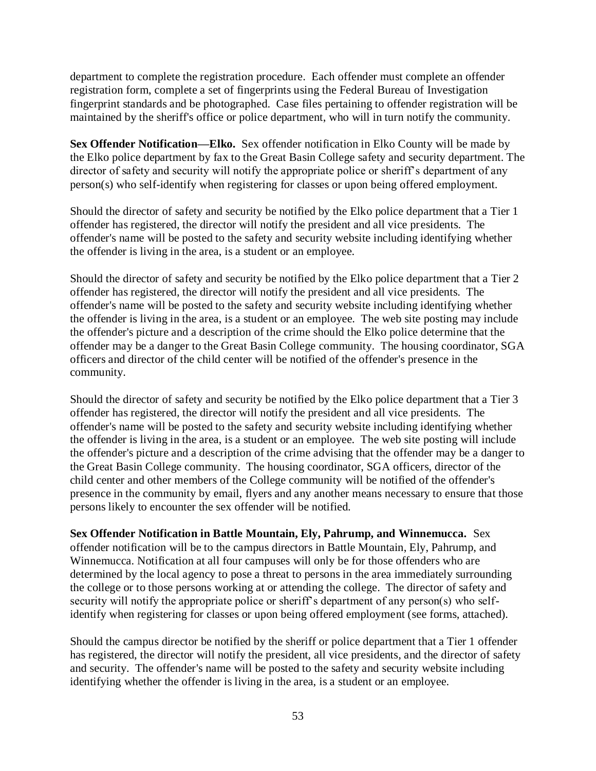department to complete the registration procedure. Each offender must complete an offender registration form, complete a set of fingerprints using the Federal Bureau of Investigation fingerprint standards and be photographed. Case files pertaining to offender registration will be maintained by the sheriff's office or police department, who will in turn notify the community.

**Sex Offender Notification—Elko.** Sex offender notification in Elko County will be made by the Elko police department by fax to the Great Basin College safety and security department. The director of safety and security will notify the appropriate police or sheriff"s department of any person(s) who self-identify when registering for classes or upon being offered employment.

Should the director of safety and security be notified by the Elko police department that a Tier 1 offender has registered, the director will notify the president and all vice presidents. The offender's name will be posted to the safety and security website including identifying whether the offender is living in the area, is a student or an employee.

Should the director of safety and security be notified by the Elko police department that a Tier 2 offender has registered, the director will notify the president and all vice presidents. The offender's name will be posted to the safety and security website including identifying whether the offender is living in the area, is a student or an employee. The web site posting may include the offender's picture and a description of the crime should the Elko police determine that the offender may be a danger to the Great Basin College community. The housing coordinator, SGA officers and director of the child center will be notified of the offender's presence in the community.

Should the director of safety and security be notified by the Elko police department that a Tier 3 offender has registered, the director will notify the president and all vice presidents. The offender's name will be posted to the safety and security website including identifying whether the offender is living in the area, is a student or an employee. The web site posting will include the offender's picture and a description of the crime advising that the offender may be a danger to the Great Basin College community. The housing coordinator, SGA officers, director of the child center and other members of the College community will be notified of the offender's presence in the community by email, flyers and any another means necessary to ensure that those persons likely to encounter the sex offender will be notified.

**Sex Offender Notification in Battle Mountain, Ely, Pahrump, and Winnemucca.** Sex offender notification will be to the campus directors in Battle Mountain, Ely, Pahrump, and Winnemucca. Notification at all four campuses will only be for those offenders who are determined by the local agency to pose a threat to persons in the area immediately surrounding the college or to those persons working at or attending the college. The director of safety and security will notify the appropriate police or sheriff's department of any person(s) who selfidentify when registering for classes or upon being offered employment (see forms, attached).

Should the campus director be notified by the sheriff or police department that a Tier 1 offender has registered, the director will notify the president, all vice presidents, and the director of safety and security. The offender's name will be posted to the safety and security website including identifying whether the offender is living in the area, is a student or an employee.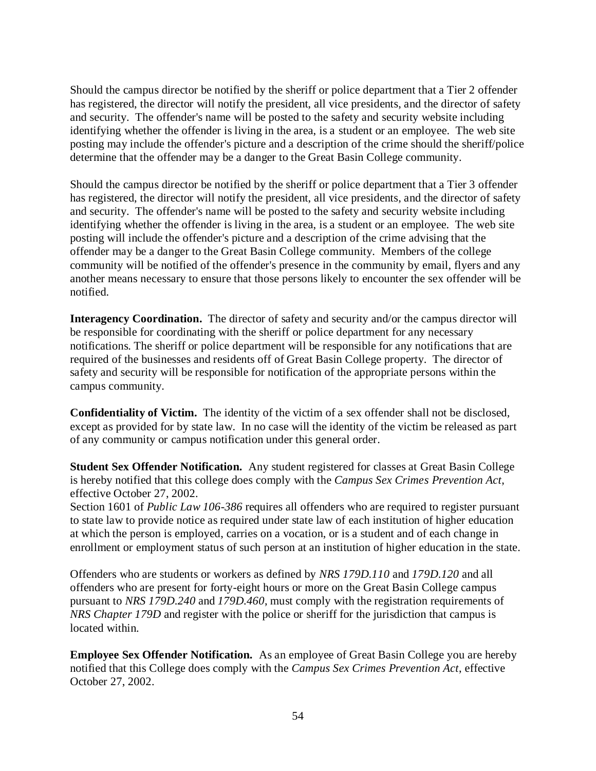Should the campus director be notified by the sheriff or police department that a Tier 2 offender has registered, the director will notify the president, all vice presidents, and the director of safety and security. The offender's name will be posted to the safety and security website including identifying whether the offender is living in the area, is a student or an employee. The web site posting may include the offender's picture and a description of the crime should the sheriff/police determine that the offender may be a danger to the Great Basin College community.

Should the campus director be notified by the sheriff or police department that a Tier 3 offender has registered, the director will notify the president, all vice presidents, and the director of safety and security. The offender's name will be posted to the safety and security website including identifying whether the offender is living in the area, is a student or an employee. The web site posting will include the offender's picture and a description of the crime advising that the offender may be a danger to the Great Basin College community. Members of the college community will be notified of the offender's presence in the community by email, flyers and any another means necessary to ensure that those persons likely to encounter the sex offender will be notified.

**Interagency Coordination.** The director of safety and security and/or the campus director will be responsible for coordinating with the sheriff or police department for any necessary notifications. The sheriff or police department will be responsible for any notifications that are required of the businesses and residents off of Great Basin College property. The director of safety and security will be responsible for notification of the appropriate persons within the campus community.

**Confidentiality of Victim.** The identity of the victim of a sex offender shall not be disclosed, except as provided for by state law. In no case will the identity of the victim be released as part of any community or campus notification under this general order.

**Student Sex Offender Notification.** Any student registered for classes at Great Basin College is hereby notified that this college does comply with the *Campus Sex Crimes Prevention Act*, effective October 27, 2002.

Section 1601 of *Public Law 106-386* requires all offenders who are required to register pursuant to state law to provide notice as required under state law of each institution of higher education at which the person is employed, carries on a vocation, or is a student and of each change in enrollment or employment status of such person at an institution of higher education in the state.

Offenders who are students or workers as defined by *NRS 179D.110* and *179D.120* and all offenders who are present for forty-eight hours or more on the Great Basin College campus pursuant to *NRS 179D.240* and *179D.460*, must comply with the registration requirements of *NRS Chapter 179D* and register with the police or sheriff for the jurisdiction that campus is located within.

**Employee Sex Offender Notification.** As an employee of Great Basin College you are hereby notified that this College does comply with the *Campus Sex Crimes Prevention Act*, effective October 27, 2002.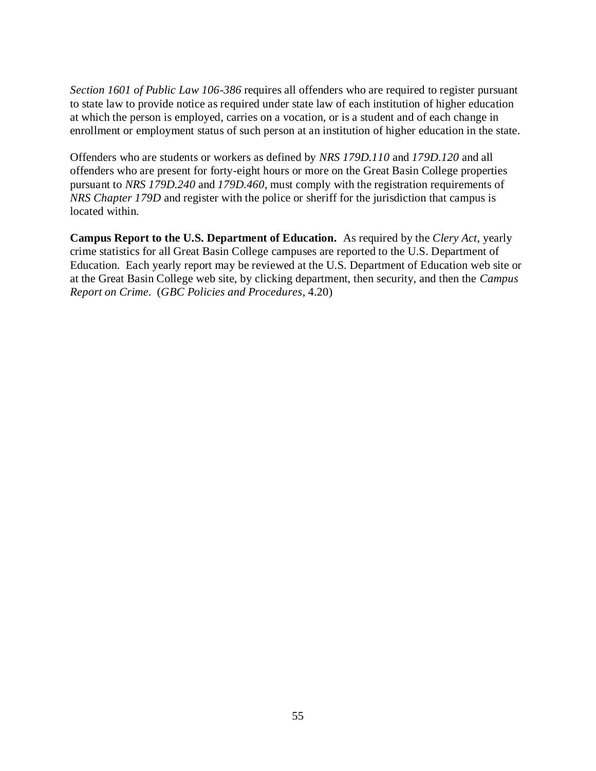*Section 1601 of Public Law 106-386* requires all offenders who are required to register pursuant to state law to provide notice as required under state law of each institution of higher education at which the person is employed, carries on a vocation, or is a student and of each change in enrollment or employment status of such person at an institution of higher education in the state.

Offenders who are students or workers as defined by *NRS 179D.110* and *179D.120* and all offenders who are present for forty-eight hours or more on the Great Basin College properties pursuant to *NRS 179D.240* and *179D.460*, must comply with the registration requirements of *NRS Chapter 179D* and register with the police or sheriff for the jurisdiction that campus is located within.

**Campus Report to the U.S. Department of Education.** As required by the *Clery Act*, yearly crime statistics for all Great Basin College campuses are reported to the U.S. Department of Education. Each yearly report may be reviewed at the U.S. Department of Education web site or at the Great Basin College web site, by clicking department, then security, and then the *Campus Report on Crime.* (*GBC Policies and Procedures*, 4.20)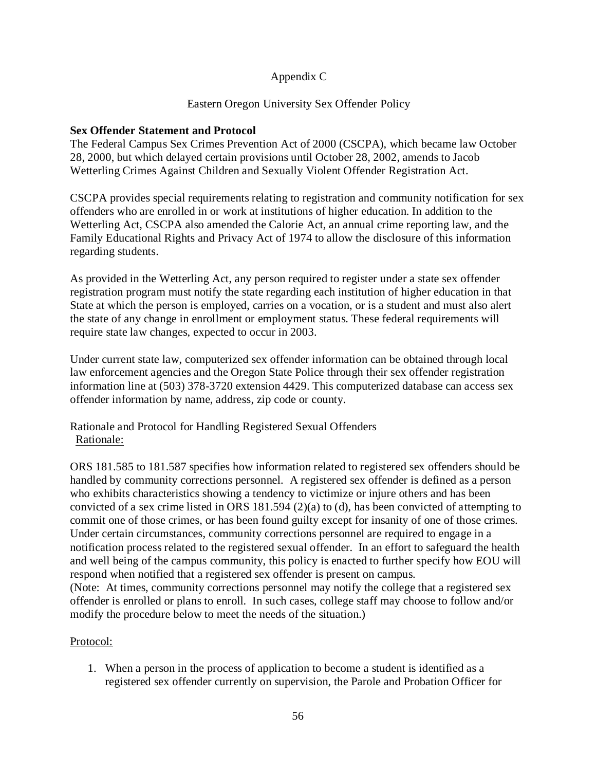# Appendix C

## Eastern Oregon University Sex Offender Policy

## **Sex Offender Statement and Protocol**

The Federal Campus Sex Crimes Prevention Act of 2000 (CSCPA), which became law October 28, 2000, but which delayed certain provisions until October 28, 2002, amends to Jacob Wetterling Crimes Against Children and Sexually Violent Offender Registration Act.

CSCPA provides special requirements relating to registration and community notification for sex offenders who are enrolled in or work at institutions of higher education. In addition to the Wetterling Act, CSCPA also amended the Calorie Act, an annual crime reporting law, and the Family Educational Rights and Privacy Act of 1974 to allow the disclosure of this information regarding students.

As provided in the Wetterling Act, any person required to register under a state sex offender registration program must notify the state regarding each institution of higher education in that State at which the person is employed, carries on a vocation, or is a student and must also alert the state of any change in enrollment or employment status. These federal requirements will require state law changes, expected to occur in 2003.

Under current state law, computerized sex offender information can be obtained through local law enforcement agencies and the Oregon State Police through their sex offender registration information line at (503) 378-3720 extension 4429. This computerized database can access sex offender information by name, address, zip code or county.

Rationale and Protocol for Handling Registered Sexual Offenders Rationale:

ORS 181.585 to 181.587 specifies how information related to registered sex offenders should be handled by community corrections personnel. A registered sex offender is defined as a person who exhibits characteristics showing a tendency to victimize or injure others and has been convicted of a sex crime listed in ORS  $181.594 (2)(a)$  to (d), has been convicted of attempting to commit one of those crimes, or has been found guilty except for insanity of one of those crimes. Under certain circumstances, community corrections personnel are required to engage in a notification process related to the registered sexual offender. In an effort to safeguard the health and well being of the campus community, this policy is enacted to further specify how EOU will respond when notified that a registered sex offender is present on campus.

(Note: At times, community corrections personnel may notify the college that a registered sex offender is enrolled or plans to enroll. In such cases, college staff may choose to follow and/or modify the procedure below to meet the needs of the situation.)

### Protocol:

1. When a person in the process of application to become a student is identified as a registered sex offender currently on supervision, the Parole and Probation Officer for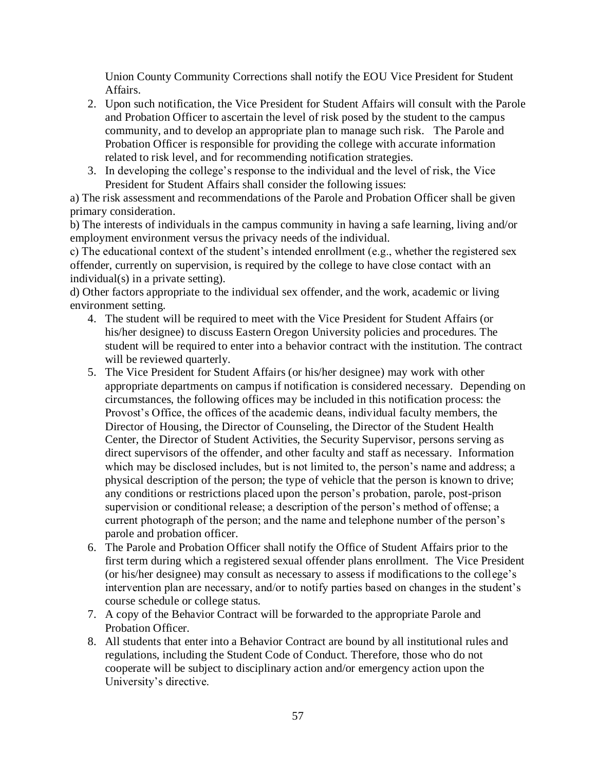Union County Community Corrections shall notify the EOU Vice President for Student Affairs.

- 2. Upon such notification, the Vice President for Student Affairs will consult with the Parole and Probation Officer to ascertain the level of risk posed by the student to the campus community, and to develop an appropriate plan to manage such risk. The Parole and Probation Officer is responsible for providing the college with accurate information related to risk level, and for recommending notification strategies.
- 3. In developing the college"s response to the individual and the level of risk, the Vice President for Student Affairs shall consider the following issues:

a) The risk assessment and recommendations of the Parole and Probation Officer shall be given primary consideration.

b) The interests of individuals in the campus community in having a safe learning, living and/or employment environment versus the privacy needs of the individual.

c) The educational context of the student"s intended enrollment (e.g., whether the registered sex offender, currently on supervision, is required by the college to have close contact with an individual(s) in a private setting).

d) Other factors appropriate to the individual sex offender, and the work, academic or living environment setting.

- 4. The student will be required to meet with the Vice President for Student Affairs (or his/her designee) to discuss Eastern Oregon University policies and procedures. The student will be required to enter into a behavior contract with the institution. The contract will be reviewed quarterly.
- 5. The Vice President for Student Affairs (or his/her designee) may work with other appropriate departments on campus if notification is considered necessary. Depending on circumstances, the following offices may be included in this notification process: the Provost's Office, the offices of the academic deans, individual faculty members, the Director of Housing, the Director of Counseling, the Director of the Student Health Center, the Director of Student Activities, the Security Supervisor, persons serving as direct supervisors of the offender, and other faculty and staff as necessary. Information which may be disclosed includes, but is not limited to, the person's name and address; a physical description of the person; the type of vehicle that the person is known to drive; any conditions or restrictions placed upon the person"s probation, parole, post-prison supervision or conditional release; a description of the person's method of offense; a current photograph of the person; and the name and telephone number of the person"s parole and probation officer.
- 6. The Parole and Probation Officer shall notify the Office of Student Affairs prior to the first term during which a registered sexual offender plans enrollment. The Vice President (or his/her designee) may consult as necessary to assess if modifications to the college"s intervention plan are necessary, and/or to notify parties based on changes in the student"s course schedule or college status.
- 7. A copy of the Behavior Contract will be forwarded to the appropriate Parole and Probation Officer.
- 8. All students that enter into a Behavior Contract are bound by all institutional rules and regulations, including the Student Code of Conduct. Therefore, those who do not cooperate will be subject to disciplinary action and/or emergency action upon the University"s directive.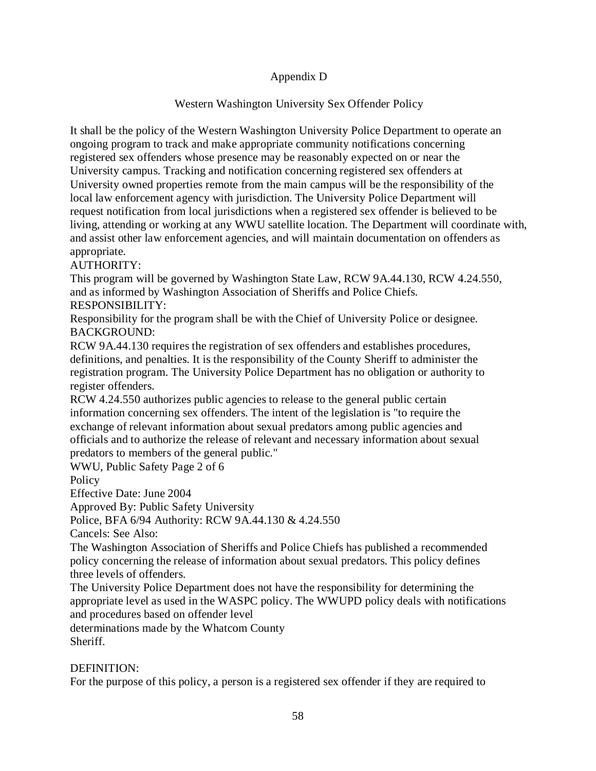# Appendix D

# Western Washington University Sex Offender Policy

It shall be the policy of the Western Washington University Police Department to operate an ongoing program to track and make appropriate community notifications concerning registered sex offenders whose presence may be reasonably expected on or near the University campus. Tracking and notification concerning registered sex offenders at University owned properties remote from the main campus will be the responsibility of the local law enforcement agency with jurisdiction. The University Police Department will request notification from local jurisdictions when a registered sex offender is believed to be living, attending or working at any WWU satellite location. The Department will coordinate with, and assist other law enforcement agencies, and will maintain documentation on offenders as appropriate.

AUTHORITY:

This program will be governed by Washington State Law, RCW 9A.44.130, RCW 4.24.550, and as informed by Washington Association of Sheriffs and Police Chiefs. RESPONSIBILITY:

Responsibility for the program shall be with the Chief of University Police or designee. BACKGROUND:

RCW 9A.44.130 requires the registration of sex offenders and establishes procedures, definitions, and penalties. It is the responsibility of the County Sheriff to administer the registration program. The University Police Department has no obligation or authority to register offenders.

RCW 4.24.550 authorizes public agencies to release to the general public certain information concerning sex offenders. The intent of the legislation is "to require the exchange of relevant information about sexual predators among public agencies and officials and to authorize the release of relevant and necessary information about sexual predators to members of the general public."

WWU, Public Safety Page 2 of 6

**Policy** 

Effective Date: June 2004

Approved By: Public Safety University

Police, BFA 6/94 Authority: RCW 9A.44.130 & 4.24.550

Cancels: See Also:

The Washington Association of Sheriffs and Police Chiefs has published a recommended policy concerning the release of information about sexual predators. This policy defines three levels of offenders.

The University Police Department does not have the responsibility for determining the appropriate level as used in the WASPC policy. The WWUPD policy deals with notifications and procedures based on offender level

determinations made by the Whatcom County Sheriff.

# DEFINITION:

For the purpose of this policy, a person is a registered sex offender if they are required to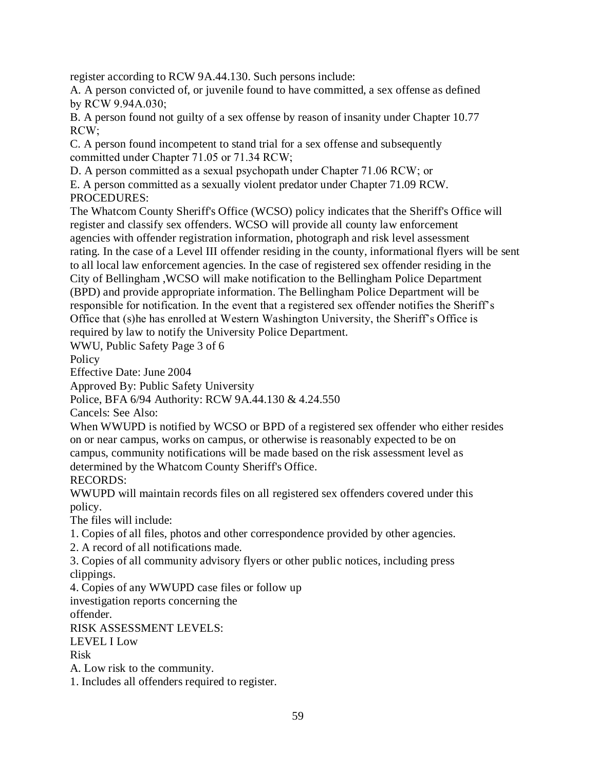register according to RCW 9A.44.130. Such persons include:

A. A person convicted of, or juvenile found to have committed, a sex offense as defined by RCW 9.94A.030;

B. A person found not guilty of a sex offense by reason of insanity under Chapter 10.77 RCW;

C. A person found incompetent to stand trial for a sex offense and subsequently committed under Chapter 71.05 or 71.34 RCW;

D. A person committed as a sexual psychopath under Chapter 71.06 RCW; or

E. A person committed as a sexually violent predator under Chapter 71.09 RCW. PROCEDURES:

The Whatcom County Sheriff's Office (WCSO) policy indicates that the Sheriff's Office will register and classify sex offenders. WCSO will provide all county law enforcement agencies with offender registration information, photograph and risk level assessment rating. In the case of a Level III offender residing in the county, informational flyers will be sent to all local law enforcement agencies. In the case of registered sex offender residing in the City of Bellingham ,WCSO will make notification to the Bellingham Police Department (BPD) and provide appropriate information. The Bellingham Police Department will be responsible for notification. In the event that a registered sex offender notifies the Sheriff"s Office that (s)he has enrolled at Western Washington University, the Sheriff"s Office is required by law to notify the University Police Department.

WWU, Public Safety Page 3 of 6

Policy

Effective Date: June 2004

Approved By: Public Safety University

Police, BFA 6/94 Authority: RCW 9A.44.130 & 4.24.550

Cancels: See Also:

When WWUPD is notified by WCSO or BPD of a registered sex offender who either resides on or near campus, works on campus, or otherwise is reasonably expected to be on campus, community notifications will be made based on the risk assessment level as determined by the Whatcom County Sheriff's Office.

RECORDS:

WWUPD will maintain records files on all registered sex offenders covered under this policy.

The files will include:

1. Copies of all files, photos and other correspondence provided by other agencies.

2. A record of all notifications made.

3. Copies of all community advisory flyers or other public notices, including press clippings.

4. Copies of any WWUPD case files or follow up

investigation reports concerning the

offender.

RISK ASSESSMENT LEVELS:

LEVEL I Low

Risk

A. Low risk to the community.

1. Includes all offenders required to register.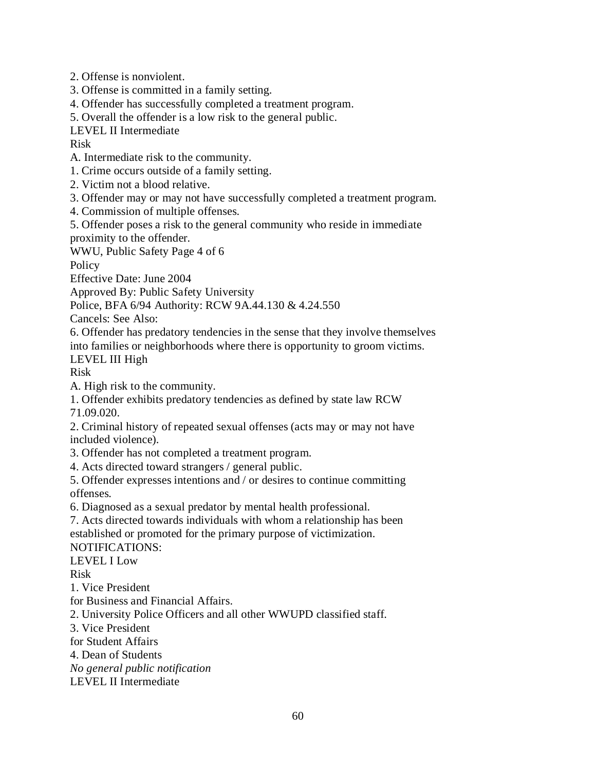2. Offense is nonviolent.

- 3. Offense is committed in a family setting.
- 4. Offender has successfully completed a treatment program.
- 5. Overall the offender is a low risk to the general public.

LEVEL II Intermediate

Risk

A. Intermediate risk to the community.

1. Crime occurs outside of a family setting.

2. Victim not a blood relative.

- 3. Offender may or may not have successfully completed a treatment program.
- 4. Commission of multiple offenses.

5. Offender poses a risk to the general community who reside in immediate proximity to the offender.

WWU, Public Safety Page 4 of 6

**Policy** 

Effective Date: June 2004

Approved By: Public Safety University

Police, BFA 6/94 Authority: RCW 9A.44.130 & 4.24.550

Cancels: See Also:

6. Offender has predatory tendencies in the sense that they involve themselves into families or neighborhoods where there is opportunity to groom victims.

LEVEL III High

Risk

A. High risk to the community.

1. Offender exhibits predatory tendencies as defined by state law RCW 71.09.020.

2. Criminal history of repeated sexual offenses (acts may or may not have included violence).

3. Offender has not completed a treatment program.

4. Acts directed toward strangers / general public.

5. Offender expresses intentions and / or desires to continue committing offenses.

6. Diagnosed as a sexual predator by mental health professional.

7. Acts directed towards individuals with whom a relationship has been established or promoted for the primary purpose of victimization.

NOTIFICATIONS:

LEVEL I Low

Risk

1. Vice President

for Business and Financial Affairs.

2. University Police Officers and all other WWUPD classified staff.

3. Vice President

for Student Affairs

4. Dean of Students

*No general public notification*

LEVEL II Intermediate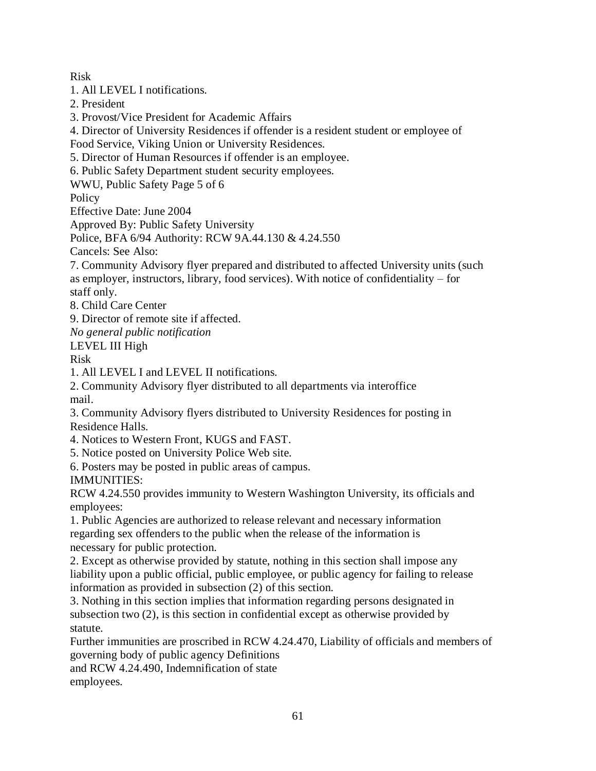Risk

1. All LEVEL I notifications.

2. President

3. Provost/Vice President for Academic Affairs

4. Director of University Residences if offender is a resident student or employee of

Food Service, Viking Union or University Residences.

5. Director of Human Resources if offender is an employee.

6. Public Safety Department student security employees.

WWU, Public Safety Page 5 of 6

**Policy** 

Effective Date: June 2004

Approved By: Public Safety University

Police, BFA 6/94 Authority: RCW 9A.44.130 & 4.24.550

Cancels: See Also:

7. Community Advisory flyer prepared and distributed to affected University units (such as employer, instructors, library, food services). With notice of confidentiality – for staff only.

8. Child Care Center

9. Director of remote site if affected.

*No general public notification*

LEVEL III High

Risk

1. All LEVEL I and LEVEL II notifications.

2. Community Advisory flyer distributed to all departments via interoffice mail.

3. Community Advisory flyers distributed to University Residences for posting in Residence Halls.

4. Notices to Western Front, KUGS and FAST.

5. Notice posted on University Police Web site.

6. Posters may be posted in public areas of campus.

IMMUNITIES:

RCW 4.24.550 provides immunity to Western Washington University, its officials and employees:

1. Public Agencies are authorized to release relevant and necessary information regarding sex offenders to the public when the release of the information is necessary for public protection.

2. Except as otherwise provided by statute, nothing in this section shall impose any liability upon a public official, public employee, or public agency for failing to release information as provided in subsection (2) of this section.

3. Nothing in this section implies that information regarding persons designated in subsection two (2), is this section in confidential except as otherwise provided by statute.

Further immunities are proscribed in RCW 4.24.470, Liability of officials and members of governing body of public agency Definitions

and RCW 4.24.490, Indemnification of state

employees.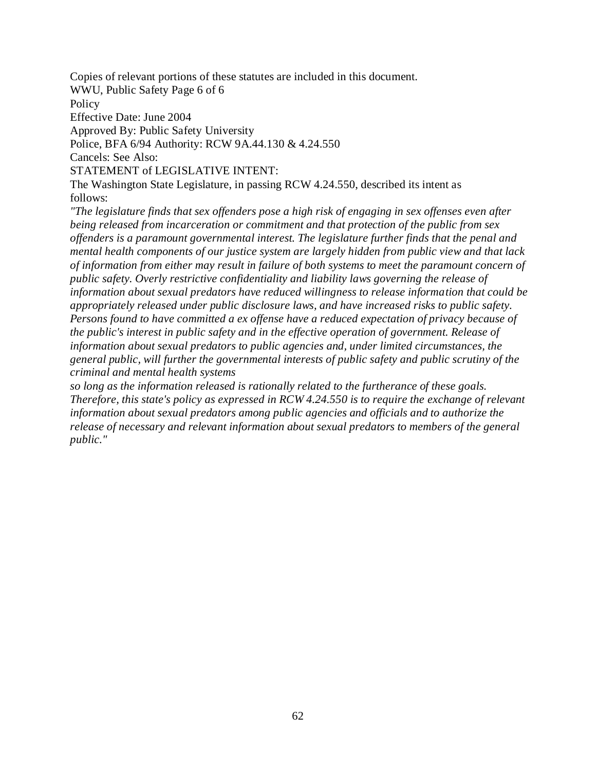Copies of relevant portions of these statutes are included in this document.

WWU, Public Safety Page 6 of 6

Policy

Effective Date: June 2004

Approved By: Public Safety University

Police, BFA 6/94 Authority: RCW 9A.44.130 & 4.24.550

Cancels: See Also:

STATEMENT of LEGISLATIVE INTENT:

The Washington State Legislature, in passing RCW 4.24.550, described its intent as follows:

*"The legislature finds that sex offenders pose a high risk of engaging in sex offenses even after being released from incarceration or commitment and that protection of the public from sex offenders is a paramount governmental interest. The legislature further finds that the penal and mental health components of our justice system are largely hidden from public view and that lack of information from either may result in failure of both systems to meet the paramount concern of public safety. Overly restrictive confidentiality and liability laws governing the release of information about sexual predators have reduced willingness to release information that could be appropriately released under public disclosure laws, and have increased risks to public safety. Persons found to have committed a ex offense have a reduced expectation of privacy because of the public's interest in public safety and in the effective operation of government. Release of information about sexual predators to public agencies and, under limited circumstances, the general public, will further the governmental interests of public safety and public scrutiny of the criminal and mental health systems*

*so long as the information released is rationally related to the furtherance of these goals. Therefore, this state's policy as expressed in RCW 4.24.550 is to require the exchange of relevant information about sexual predators among public agencies and officials and to authorize the release of necessary and relevant information about sexual predators to members of the general public."*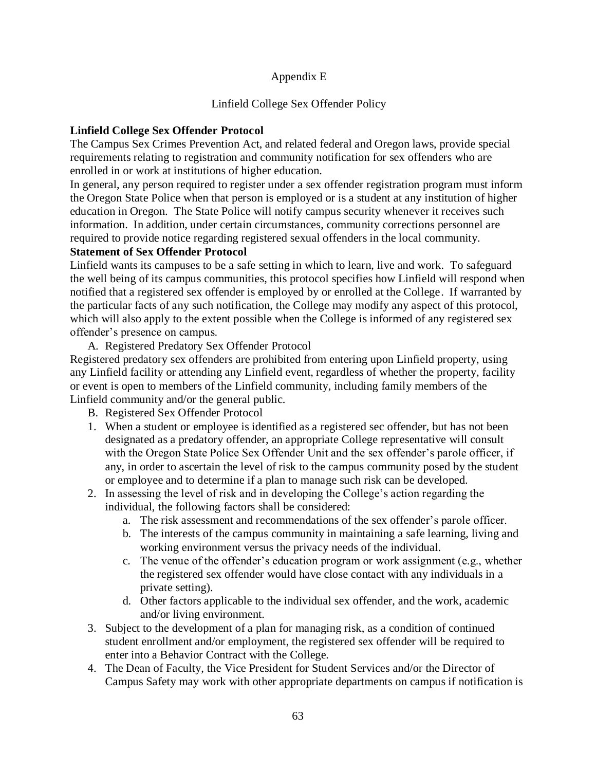# Appendix E

## Linfield College Sex Offender Policy

## **Linfield College Sex Offender Protocol**

The Campus Sex Crimes Prevention Act, and related federal and Oregon laws, provide special requirements relating to registration and community notification for sex offenders who are enrolled in or work at institutions of higher education.

In general, any person required to register under a sex offender registration program must inform the Oregon State Police when that person is employed or is a student at any institution of higher education in Oregon. The State Police will notify campus security whenever it receives such information. In addition, under certain circumstances, community corrections personnel are required to provide notice regarding registered sexual offenders in the local community.

### **Statement of Sex Offender Protocol**

Linfield wants its campuses to be a safe setting in which to learn, live and work. To safeguard the well being of its campus communities, this protocol specifies how Linfield will respond when notified that a registered sex offender is employed by or enrolled at the College. If warranted by the particular facts of any such notification, the College may modify any aspect of this protocol, which will also apply to the extent possible when the College is informed of any registered sex offender"s presence on campus.

A. Registered Predatory Sex Offender Protocol

Registered predatory sex offenders are prohibited from entering upon Linfield property, using any Linfield facility or attending any Linfield event, regardless of whether the property, facility or event is open to members of the Linfield community, including family members of the Linfield community and/or the general public.

- B. Registered Sex Offender Protocol
- 1. When a student or employee is identified as a registered sec offender, but has not been designated as a predatory offender, an appropriate College representative will consult with the Oregon State Police Sex Offender Unit and the sex offender"s parole officer, if any, in order to ascertain the level of risk to the campus community posed by the student or employee and to determine if a plan to manage such risk can be developed.
- 2. In assessing the level of risk and in developing the College"s action regarding the individual, the following factors shall be considered:
	- a. The risk assessment and recommendations of the sex offender"s parole officer.
	- b. The interests of the campus community in maintaining a safe learning, living and working environment versus the privacy needs of the individual.
	- c. The venue of the offender"s education program or work assignment (e.g., whether the registered sex offender would have close contact with any individuals in a private setting).
	- d. Other factors applicable to the individual sex offender, and the work, academic and/or living environment.
- 3. Subject to the development of a plan for managing risk, as a condition of continued student enrollment and/or employment, the registered sex offender will be required to enter into a Behavior Contract with the College.
- 4. The Dean of Faculty, the Vice President for Student Services and/or the Director of Campus Safety may work with other appropriate departments on campus if notification is